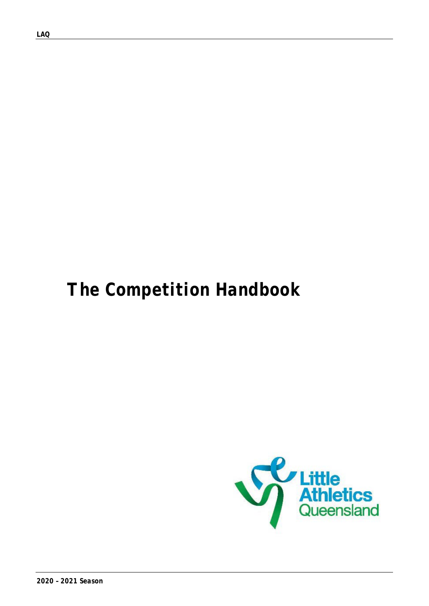*LAQ*

# *The Competition Handbook*

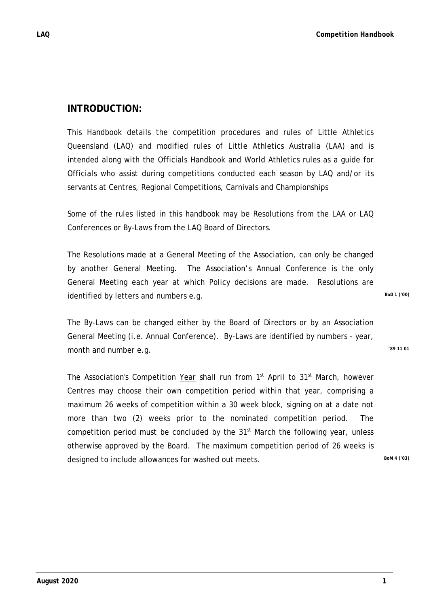### **INTRODUCTION:**

This Handbook details the competition procedures and rules of Little Athletics Queensland (LAQ) and modified rules of Little Athletics Australia (LAA) and is intended along with the Officials Handbook and World Athletics rules as a guide for Officials who assist during competitions conducted each season by LAQ and/or its servants at Centres, Regional Competitions, Carnivals and Championships

Some of the rules listed in this handbook may be Resolutions from the LAA or LAQ Conferences or By-Laws from the LAQ Board of Directors.

The Resolutions made at a General Meeting of the Association, can only be changed by another General Meeting. The Association's Annual Conference is the only General Meeting each year at which Policy decisions are made. Resolutions are identified by letters and numbers e.g. **BoD** 1 ('00)

The By-Laws can be changed either by the Board of Directors or by an Association General Meeting (i.e. Annual Conference). By-Laws are identified by numbers - year, month and number e.g. *'89 11 01*

The Association's Competition Year shall run from 1<sup>st</sup> April to 31<sup>st</sup> March, however Centres may choose their own competition period within that year, comprising a maximum 26 weeks of competition within a 30 week block, signing on at a date not more than two (2) weeks prior to the nominated competition period. The competition period must be concluded by the  $31<sup>st</sup>$  March the following year, unless otherwise approved by the Board. The maximum competition period of 26 weeks is designed to include allowances for washed out meets. **BoM 4 ('03)** BoM 4 ('03)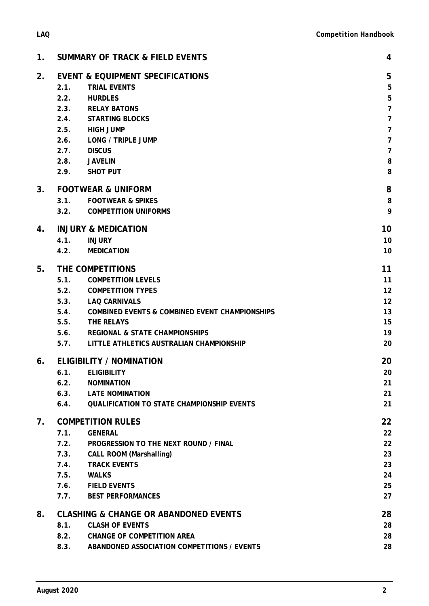| 8.3.        | ABANDONED ASSOCIATION COMPETITIONS / EVENTS | 28 |
|-------------|---------------------------------------------|----|
|             |                                             |    |
|             |                                             |    |
| August 2020 |                                             | ◠  |

| 2. |      | <b>EVENT &amp; EQUIPMENT SPECIFICATIONS</b>         | 5              |
|----|------|-----------------------------------------------------|----------------|
|    | 2.1. | <b>TRIAL EVENTS</b>                                 | 5              |
|    | 2.2. | <b>HURDLES</b>                                      | $\overline{5}$ |
|    | 2.3. | <b>RELAY BATONS</b>                                 | $\overline{7}$ |
|    | 2.4. | <b>STARTING BLOCKS</b>                              | $\overline{7}$ |
|    | 2.5. | <b>HIGH JUMP</b>                                    | $\overline{7}$ |
|    | 2.6. | LONG / TRIPLE JUMP                                  | $\overline{7}$ |
|    | 2.7. | <b>DISCUS</b>                                       | $\overline{7}$ |
|    | 2.8. | <b>JAVELIN</b>                                      | 8              |
|    | 2.9. | <b>SHOT PUT</b>                                     | 8              |
| 3. |      | <b>FOOTWEAR &amp; UNIFORM</b>                       | 8              |
|    | 3.1. | <b>FOOTWEAR &amp; SPIKES</b>                        | 8              |
|    | 3.2. | <b>COMPETITION UNIFORMS</b>                         | 9              |
| 4. |      | <b>INJURY &amp; MEDICATION</b>                      | 10             |
|    | 4.1. | <b>INJURY</b>                                       | 10             |
|    | 4.2. | <b>MEDICATION</b>                                   | 10             |
| 5. |      | THE COMPETITIONS                                    | 11             |
|    | 5.1. | <b>COMPETITION LEVELS</b>                           | 11             |
|    |      | 5.2. COMPETITION TYPES                              | 12             |
|    | 5.3. | <b>LAQ CARNIVALS</b>                                | 12             |
|    |      | 5.4. COMBINED EVENTS & COMBINED EVENT CHAMPIONSHIPS | 13             |
|    | 5.5. | THE RELAYS                                          | 15             |
|    | 5.6. | <b>REGIONAL &amp; STATE CHAMPIONSHIPS</b>           | 19             |
|    | 5.7. | LITTLE ATHLETICS AUSTRALIAN CHAMPIONSHIP            | 20             |
| 6. |      | <b>ELIGIBILITY / NOMINATION</b>                     | 20             |
|    | 6.1. | <b>ELIGIBILITY</b>                                  | 20             |
|    | 6.2. | <b>NOMINATION</b>                                   | 21             |
|    |      | 6.3. LATE NOMINATION                                | 21             |
|    | 6.4. | <b>QUALIFICATION TO STATE CHAMPIONSHIP EVENTS</b>   | 21             |
| 7. |      | <b>COMPETITION RULES</b>                            | 22             |
|    | 7.1. | <b>GENERAL</b>                                      | 22             |
|    | 7.2. | PROGRESSION TO THE NEXT ROUND / FINAL               | 22             |
|    | 7.3. | <b>CALL ROOM (Marshalling)</b>                      | 23             |
|    | 7.4. | <b>TRACK EVENTS</b>                                 | 23             |
|    | 7.5. | <b>WALKS</b>                                        | 24             |
|    | 7.6. | <b>FIELD EVENTS</b>                                 | 25             |
|    | 7.7. | <b>BEST PERFORMANCES</b>                            | 27             |
| 8. |      | <b>CLASHING &amp; CHANGE OR ABANDONED EVENTS</b>    | 28             |
|    | 8.1. | <b>CLASH OF EVENTS</b>                              | 28             |
|    | 8.2. | <b>CHANGE OF COMPETITION AREA</b>                   | 28             |

**1. [SUMMARY OF TRACK & FIELD EVENTS](#page-4-0) 4**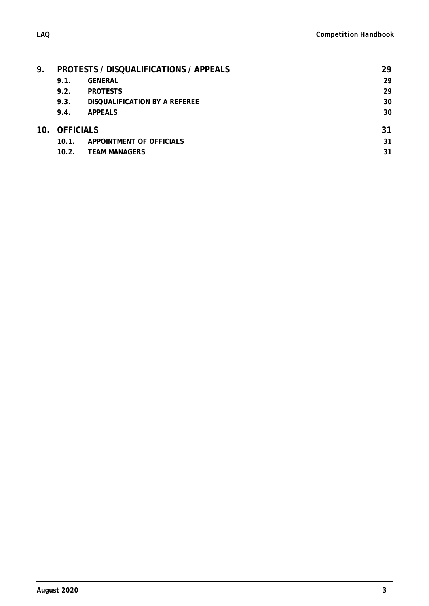| 9. |               | <b>PROTESTS / DISQUALIFICATIONS / APPEALS</b> | 29 |
|----|---------------|-----------------------------------------------|----|
|    | 9.1.          | <b>GENERAL</b>                                | 29 |
|    | 9.2.          | <b>PROTESTS</b>                               | 29 |
|    | 9.3.          | DISQUALIFICATION BY A REFEREE                 | 30 |
|    | 9.4.          | <b>APPEALS</b>                                | 30 |
|    | 10. OFFICIALS |                                               | 31 |
|    | $10.1$ .      | APPOINTMENT OF OFFICIALS                      | 31 |

**10.2. [TEAM MANAGERS](#page-31-2) 31**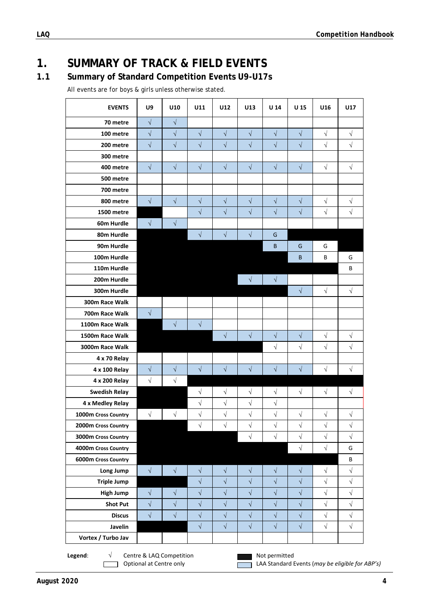# <span id="page-4-0"></span>**1. SUMMARY OF TRACK & FIELD EVENTS**

# **1.1 Summary of Standard Competition Events U9-U17s**

All events are for boys & girls unless otherwise stated.

| <b>EVENTS</b>                                                                                                                                   | U9         | U10                  | U11        | U12        | U13        | U 14       | U 15                 | U16                  | U17                  |
|-------------------------------------------------------------------------------------------------------------------------------------------------|------------|----------------------|------------|------------|------------|------------|----------------------|----------------------|----------------------|
| 70 metre                                                                                                                                        | $\sqrt{ }$ | $\sqrt{}$            |            |            |            |            |                      |                      |                      |
| 100 metre                                                                                                                                       | $\sqrt{ }$ | $\sqrt{ }$           | $\sqrt{}$  | $\sqrt{}$  | $\sqrt{ }$ | $\sqrt{}$  | $\sqrt{}$            | $\sqrt{}$            | $\sqrt{}$            |
| 200 metre                                                                                                                                       | $\sqrt{}$  | $\sqrt{\phantom{a}}$ | $\sqrt{}$  | $\sqrt{}$  | $\sqrt{ }$ | $\sqrt{}$  | $\sqrt{}$            | $\sqrt{}$            | $\sqrt{\phantom{a}}$ |
| 300 metre                                                                                                                                       |            |                      |            |            |            |            |                      |                      |                      |
| 400 metre                                                                                                                                       | $\sqrt{2}$ | $\sqrt{}$            | $\sqrt{ }$ | $\sqrt{}$  | $\sqrt{ }$ | $\sqrt{}$  | $\sqrt{}$            | $\sqrt{}$            | $\sqrt{}$            |
| 500 metre                                                                                                                                       |            |                      |            |            |            |            |                      |                      |                      |
| 700 metre                                                                                                                                       |            |                      |            |            |            |            |                      |                      |                      |
| 800 metre                                                                                                                                       | $\sqrt{ }$ | $\sqrt{ }$           | $\sqrt{ }$ | $\sqrt{}$  | $\sqrt{}$  | $\sqrt{}$  | $\sqrt{}$            | $\sqrt{}$            | $\sqrt{}$            |
| 1500 metre                                                                                                                                      |            |                      | $\sqrt{}$  | $\sqrt{}$  | $\sqrt{}$  | $\sqrt{}$  | $\sqrt{}$            | $\sqrt{}$            | $\sqrt{ }$           |
| 60m Hurdle                                                                                                                                      | $\sqrt{ }$ | $\sqrt{ }$           |            |            |            |            |                      |                      |                      |
| 80m Hurdle                                                                                                                                      |            |                      | $\sqrt{ }$ | $\sqrt{ }$ | $\sqrt{ }$ | G          |                      |                      |                      |
| 90m Hurdle                                                                                                                                      |            |                      |            |            |            | B          | G                    | G                    |                      |
| 100m Hurdle                                                                                                                                     |            |                      |            |            |            |            | В                    | В                    | G                    |
| 110m Hurdle                                                                                                                                     |            |                      |            |            |            |            |                      |                      | В                    |
| 200m Hurdle                                                                                                                                     |            |                      |            |            | $\sqrt{ }$ | $\sqrt{ }$ |                      |                      |                      |
| 300m Hurdle                                                                                                                                     |            |                      |            |            |            |            | $\sqrt{ }$           | $\sqrt{ }$           | $\sqrt{}$            |
| 300m Race Walk                                                                                                                                  |            |                      |            |            |            |            |                      |                      |                      |
| 700m Race Walk                                                                                                                                  | $\sqrt{}$  |                      |            |            |            |            |                      |                      |                      |
| 1100m Race Walk                                                                                                                                 |            | $\sqrt{}$            | $\sqrt{}$  |            |            |            |                      |                      |                      |
| 1500m Race Walk                                                                                                                                 |            |                      |            | $\sqrt{}$  | $\sqrt{}$  | $\sqrt{}$  | $\sqrt{}$            | $\sqrt{}$            | $\sqrt{}$            |
| 3000m Race Walk                                                                                                                                 |            |                      |            |            |            | $\sqrt{}$  | $\sqrt{}$            | $\sqrt{ }$           | $\sqrt{ }$           |
| 4 x 70 Relay                                                                                                                                    |            |                      |            |            |            |            |                      |                      |                      |
| 4 x 100 Relay                                                                                                                                   | $\sqrt{}$  | $\sqrt{}$            | $\sqrt{ }$ | $\sqrt{}$  | $\sqrt{}$  | $\sqrt{}$  | $\sqrt{}$            | $\sqrt{ }$           | $\sqrt{}$            |
| 4 x 200 Relay                                                                                                                                   | $\sqrt{}$  | $\sqrt{}$            |            |            |            |            |                      |                      |                      |
| <b>Swedish Relay</b>                                                                                                                            |            |                      | $\sqrt{}$  | $\sqrt{}$  | $\sqrt{}$  | $\sqrt{}$  | $\sqrt{ }$           | $\sqrt{}$            | $\sqrt{}$            |
| 4 x Medley Relay                                                                                                                                |            |                      | $\sqrt{}$  | $\sqrt{}$  | $\sqrt{ }$ | $\sqrt{}$  |                      |                      |                      |
| 1000m Cross Country                                                                                                                             | $\sqrt{ }$ | $\sqrt{}$            | $\sqrt{}$  | $\sqrt{ }$ | $\sqrt{ }$ | $\sqrt{}$  | $\sqrt{}$            | $\sqrt{}$            | $\sqrt{}$            |
| 2000m Cross Country                                                                                                                             |            |                      | $\sqrt{}$  | $\sqrt{}$  | $\sqrt{ }$ | $\sqrt{}$  | $\sqrt{}$            | $\sqrt{}$            | $\sqrt{}$            |
| 3000m Cross Country                                                                                                                             |            |                      |            |            | $\sqrt{ }$ | $\sqrt{}$  | $\sqrt{}$            | $\sqrt{}$            | $\sqrt{}$            |
| 4000m Cross Country                                                                                                                             |            |                      |            |            |            |            | $\sqrt{2}$           | $\sqrt{}$            | G                    |
| 6000m Cross Country                                                                                                                             |            |                      |            |            |            |            |                      |                      | B                    |
| Long Jump                                                                                                                                       | $\sqrt{ }$ | $\sqrt{}$            | $\sqrt{}$  | $\sqrt{}$  | $\sqrt{}$  | $\sqrt{}$  | $\sqrt{}$            | $\sqrt{}$            | $\sqrt{}$            |
| <b>Triple Jump</b>                                                                                                                              |            |                      | $\sqrt{}$  | $\sqrt{}$  | $\sqrt{ }$ | $\sqrt{}$  | $\sqrt{\phantom{a}}$ | $\sqrt{\phantom{a}}$ | $\sqrt{}$            |
| <b>High Jump</b>                                                                                                                                | $\sqrt{ }$ | $\sqrt{}$            | $\sqrt{}$  | $\sqrt{}$  | $\sqrt{}$  | $\sqrt{}$  | $\sqrt{}$            | $\sqrt{}$            | $\sqrt{}$            |
| <b>Shot Put</b>                                                                                                                                 | $\sqrt{ }$ | $\sqrt{}$            | $\sqrt{}$  | $\sqrt{}$  | $\sqrt{}$  | $\sqrt{}$  | $\sqrt{}$            | $\sqrt{}$            | $\sqrt{\phantom{a}}$ |
| <b>Discus</b>                                                                                                                                   | $\sqrt{ }$ | $\sqrt{}$            | $\sqrt{}$  | $\sqrt{}$  | $\sqrt{}$  | $\sqrt{}$  | $\sqrt{}$            | $\sqrt{}$            | $\sqrt{ }$           |
| Javelin                                                                                                                                         |            |                      | $\sqrt{}$  | $\sqrt{}$  | $\sqrt{ }$ | $\sqrt{}$  | $\sqrt{}$            | $\sqrt{}$            | $\sqrt{}$            |
| Vortex / Turbo Jav                                                                                                                              |            |                      |            |            |            |            |                      |                      |                      |
| Centre & LAQ Competition<br>Legend:<br>$\sqrt{}$<br>Not permitted<br>Optional at Centre only<br>LAA Standard Events (may be eligible for ABP's) |            |                      |            |            |            |            |                      |                      |                      |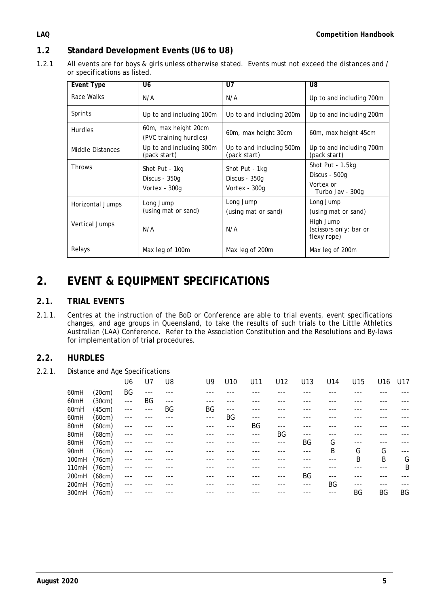### **1.2 Standard Development Events (U6 to U8)**

1.2.1 All events are for boys & girls unless otherwise stated. Events must not exceed the distances and / or specifications as listed.

| <b>Event Type</b> | U <sub>6</sub>                                   | U7                                               | U8                                                                 |
|-------------------|--------------------------------------------------|--------------------------------------------------|--------------------------------------------------------------------|
| Race Walks        | N/A                                              | N/A                                              | Up to and including 700m                                           |
| Sprints           | Up to and including 100m                         | Up to and including 200m                         | Up to and including 200m                                           |
| <b>Hurdles</b>    | 60m, max height 20cm<br>(PVC training hurdles)   | 60m, max height 30cm                             | 60m, max height 45cm                                               |
| Middle Distances  | Up to and including 300m<br>(pack start)         | Up to and including 500m<br>(pack start)         | Up to and including 700m<br>(pack start)                           |
| <b>Throws</b>     | Shot Put - 1kg<br>Discus - 350g<br>Vortex - 300g | Shot Put - 1kg<br>Discus - 350g<br>Vortex - 300q | Shot Put - 1.5kg<br>Discus - 500g<br>Vortex or<br>Turbo Jav - 300g |
| Horizontal Jumps  | Long Jump<br>(using mat or sand)                 | Long Jump<br>(using mat or sand)                 | Long Jump<br>(using mat or sand)                                   |
| Vertical Jumps    | N/A                                              | N/A                                              | High Jump<br>(scissors only: bar or<br>flexy rope)                 |
| Relays            | Max leg of 100m                                  | Max leg of 200m                                  | Max leg of 200m                                                    |

# <span id="page-5-0"></span>**2. EVENT & EQUIPMENT SPECIFICATIONS**

### <span id="page-5-1"></span>**2.1. TRIAL EVENTS**

2.1.1. Centres at the instruction of the BoD or Conference are able to trial events, event specifications changes, and age groups in Queensland, to take the results of such trials to the Little Athletics Australian (LAA) Conference. Refer to the Association Constitution and the Resolutions and By-laws for implementation of trial procedures.

#### <span id="page-5-2"></span>**2.2. HURDLES**

2.2.1. Distance and Age Specifications

|                  |        | U6    | U7    | U8  | U9    | U <sub>10</sub> | U11 | U12 | U13 | U14 | U15 | U16 | U17 |
|------------------|--------|-------|-------|-----|-------|-----------------|-----|-----|-----|-----|-----|-----|-----|
| 60 <sub>mH</sub> | (20cm) | ΒG    | $---$ |     |       |                 |     |     |     |     |     |     |     |
| 60 <sub>mH</sub> | (30cm) | $---$ | BG    | --- |       |                 |     |     |     |     |     |     |     |
| 60 <sub>mH</sub> | (45cm) | $---$ | ---   | BG  | ΒG    | $---$           |     |     |     |     |     |     |     |
| 60 <sub>mH</sub> | (60cm) | ---   |       |     | $---$ | BG              |     |     |     |     |     |     |     |
| 80mH             | (60cm) | $---$ |       |     |       | ---             | BG  | --- |     |     |     |     |     |
| 80mH             | (68cm) | ---   |       |     |       |                 | --- | ΒG  | --- |     |     |     |     |
| 80mH             | (76cm) | $---$ |       |     |       |                 |     | --- | BG  | G   | --- |     |     |
| 90mH             | (76cm) | $---$ |       |     |       |                 |     |     | --- | B   | G   | G   |     |
| 100mH            | (76cm) | ---   |       |     |       |                 |     |     |     |     | B   | B   | G   |
| 110mH            | (76cm) | $---$ |       |     |       |                 |     |     |     |     |     |     | B   |
| 200mH            | (68cm) | ---   |       |     |       |                 |     |     | BG  |     |     |     |     |
| 200mH            | (76cm) | ---   |       |     |       |                 |     |     | --- | BG  | --- |     |     |
| 300mH            | (76cm) | ---   |       |     |       |                 |     |     |     |     | BG  | BG  | BG  |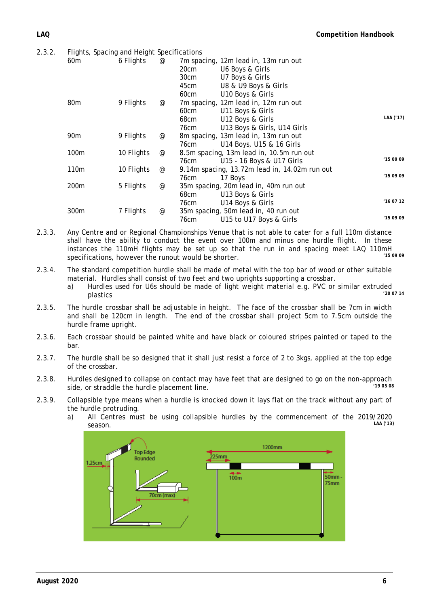2.3.2. Flights, Spacing and Height Specifications

| Fights, spacing and Height specifications |            |                                 |                                               |           |
|-------------------------------------------|------------|---------------------------------|-----------------------------------------------|-----------|
| 60 <sub>m</sub>                           | 6 Flights  | @                               | 7m spacing, 12m lead in, 13m run out          |           |
|                                           |            |                                 | 20cm<br>U6 Boys & Girls                       |           |
|                                           |            |                                 | 30cm<br>U7 Boys & Girls                       |           |
|                                           |            |                                 | 45cm<br>U8 & U9 Boys & Girls                  |           |
|                                           |            |                                 | U10 Boys & Girls<br>60cm                      |           |
| 80m                                       | 9 Flights  | $^\text{\textregistered}$       | 7m spacing, 12m lead in, 12m run out          |           |
|                                           |            |                                 | 60cm<br>U11 Boys & Girls                      |           |
|                                           |            |                                 | U12 Boys & Girls<br>68cm                      | LAA ('17) |
|                                           |            |                                 | U13 Boys & Girls, U14 Girls<br>76cm           |           |
| 90 <sub>m</sub>                           | 9 Flights  | $^{\scriptsize\textregistered}$ | 8m spacing, 13m lead in, 13m run out          |           |
|                                           |            |                                 | U14 Boys, U15 & 16 Girls<br>76cm              |           |
| 100m                                      | 10 Flights | @                               | 8.5m spacing, 13m lead in, 10.5m run out      |           |
|                                           |            |                                 | U15 - 16 Boys & U17 Girls<br>76cm             | 150909    |
| 110m                                      | 10 Flights | @                               | 9.14m spacing, 13.72m lead in, 14.02m run out |           |
|                                           |            |                                 | 76cm<br>17 Boys                               | '150909   |
| 200m                                      | 5 Flights  | $^{\scriptsize\textregistered}$ | 35m spacing, 20m lead in, 40m run out         |           |
|                                           |            |                                 | 68cm<br>U13 Boys & Girls                      |           |
|                                           |            |                                 | U14 Boys & Girls<br>76cm                      | '160712   |
| 300m                                      | 7 Flights  | @                               | 35m spacing, 50m lead in, 40 run out          |           |
|                                           |            |                                 | U15 to U17 Boys & Girls<br>76cm               | '150909   |
|                                           |            |                                 |                                               |           |

- 2.3.3. Any Centre and or Regional Championships Venue that is not able to cater for a full 110m distance shall have the ability to conduct the event over 100m and minus one hurdle flight. In these instances the 110mH flights may be set up so that the run in and spacing meet LAQ 110mH<br>considerations between the runged becomes the charter. specifications, however the runout would be shorter.
- 2.3.4. The standard competition hurdle shall be made of metal with the top bar of wood or other suitable material. Hurdles shall consist of two feet and two uprights supporting a crossbar.
	- a) Hurdles used for U6s should be made of light weight material e.g. PVC or similar extruded<br>200714<br>200714 plastics *'20 07 14*
- 2.3.5. The hurdle crossbar shall be adjustable in height. The face of the crossbar shall be 7cm in width and shall be 120cm in length. The end of the crossbar shall project 5cm to 7.5cm outside the hurdle frame upright.
- 2.3.6. Each crossbar should be painted white and have black or coloured stripes painted or taped to the bar.
- 2.3.7. The hurdle shall be so designed that it shall just resist a force of 2 to 3kgs, applied at the top edge of the crossbar.
- 2.3.8. Hurdles designed to collapse on contact may have feet that are designed to go on the non-approach<br><sup>19.05.08</sup> side, or straddle the hurdle placement line.
- 2.3.9. Collapsible type means when a hurdle is knocked down it lays flat on the track without any part of the hurdle protruding.
	- a) All Centres must be using collapsible hurdles by the commencement of the 2019/2020<br>EAA('13) season. *LAA ('13)*

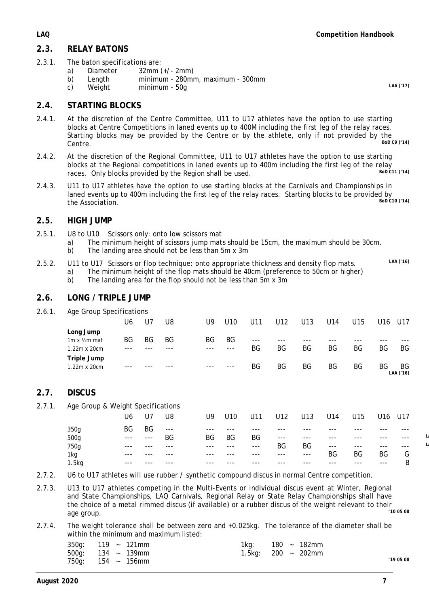### <span id="page-7-0"></span>**2.3. RELAY BATONS**

- 2.3.1. The baton specifications are:<br>a) Diameter 32mm
	- a) Diameter 32mm (+/- 2mm)
	- b) Length minimum 280mm, maximum 300mm<br>c) Weight minimum 50g
	- c) Weight minimum 50g *LAA ('17)*

#### <span id="page-7-1"></span>**2.4. STARTING BLOCKS**

- 2.4.1. At the discretion of the Centre Committee, U11 to U17 athletes have the option to use starting blocks at Centre Competitions in laned events up to 400M including the first leg of the relay races. Starting blocks may be provided by the Centre or by the athlete, only if not provided by the<br>Control belocation Centre. *BoD C9 ('14)*
- 2.4.2. At the discretion of the Regional Committee, U11 to U17 athletes have the option to use starting blocks at the Regional competitions in laned events up to 400m including the first leg of the relay<br>races. Only blocks provided by the Begion shall be used races. Only blocks provided by the Region shall be used.
- 2.4.3. U11 to U17 athletes have the option to use starting blocks at the Carnivals and Championships in laned events up to 400m including the first leg of the relay races. Starting blocks to be provided by<br>the Association  $\frac{BOD \, CIO \, (14)}{BOD \, CIO}$ the Association.

#### <span id="page-7-2"></span>**2.5. HIGH JUMP**

- 2.5.1. U8 to U10 Scissors only: onto low scissors mat
	- a) The minimum height of scissors jump mats should be 15cm, the maximum should be 30cm.
	- b) The landing area should not be less than 5m x 3m
- 2.5.2. U11 to U17 Scissors or flop technique: onto appropriate thickness and density flop mats. *LAA ('16)* a) The minimum height of the flop mats should be 40cm (preference to 50cm or higher)
	- b) The landing area for the flop should not be less than 5m x 3m

#### <span id="page-7-3"></span>**2.6. LONG / TRIPLE JUMP**

2.6.1. Age Group Specifications

|                              | U6 | U7 | U8 | U9.   | U <sub>10</sub> | U11   | U12 | U13 | U14 | U15 | U16 | U17             |
|------------------------------|----|----|----|-------|-----------------|-------|-----|-----|-----|-----|-----|-----------------|
| Long Jump                    |    |    |    |       |                 |       |     |     |     |     |     |                 |
| $1m \times \frac{1}{2}m$ mat | ΒG | ΒG | ΒG | BG    | ΒG              | $---$ |     |     |     |     |     |                 |
| 1.22m x 20cm                 |    |    |    | $---$ | $---$           | ΒG    | ΒG  | ΒG  | ΒG  | ΒG  | BG  | BG              |
| Triple Jump                  |    |    |    |       |                 |       |     |     |     |     |     |                 |
| 1.22m x 20cm                 |    |    |    | ---   | $---$           | BG    | BG  | ΒG  | ΒG  | ΒG  | BG  | BG<br>LAA ('16) |

#### <span id="page-7-4"></span>**2.7. DISCUS**

#### 2.7.1. Age Group & Weight Specifications

|       | U6    | J7     | U8      | U9    | U10 | U11   | U12    | U13     | U14   | U <sub>15</sub> | U16    | U17   |  |
|-------|-------|--------|---------|-------|-----|-------|--------|---------|-------|-----------------|--------|-------|--|
| 350g  | ΒG    | BG     | $- - -$ | $---$ |     | ---   | $---$  | $-- -$  | ---   | $--$            | ---    | $--$  |  |
| 500g  | $---$ | $-- -$ | BG      | ΒG    | BG  | BG    | $---$  | $- - -$ | ---   | $---$           | ---    | $--$  |  |
| 750g  | $---$ | ---    | ---     | $---$ | --- | $---$ | ΒG     | BG      | $---$ | $---$           | $---$  | $---$ |  |
| 1kg   | $--$  | ---    | ---     | $---$ | --- | ---   | $-- -$ | $---$   | ΒG    | BG              | ΒG     | G     |  |
| 1.5kg | $--$  |        |         | $--$  |     | ---   | $---$  | $---$   | ---   | $---$           | $-- -$ | B     |  |

- 2.7.2. U6 to U17 athletes will use rubber / synthetic compound discus in normal Centre competition.
- 2.7.3. U13 to U17 athletes competing in the Multi-Events or individual discus event at Winter, Regional and State Championships, LAQ Carnivals, Regional Relay or State Relay Championships shall have the choice of a metal rimmed discus (if available) or a rubber discus of the weight relevant to their<br>200 around 10.05.08 age group. *'10 05 08*
- 2.7.4. The weight tolerance shall be between zero and +0.025kg. The tolerance of the diameter shall be within the minimum and maximum listed:

|  | $350g$ : 119 ~ 121mm | 180 ~ 182mm<br>1kg: l |          |
|--|----------------------|-----------------------|----------|
|  | $500g$ : 134 ~ 139mm | 1.5kg: 200 ~ 202mm    |          |
|  | $750g$ : 154 ~ 156mm |                       | 19 05 08 |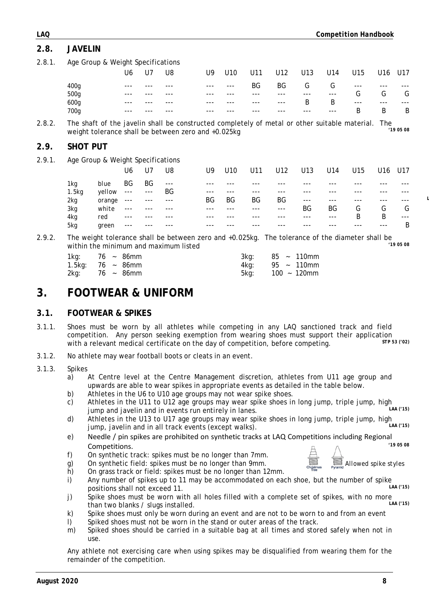# <span id="page-8-3"></span>**3.1. FOOTWEAR & SPIKES**

<span id="page-8-2"></span>**3. FOOTWEAR & UNIFORM**

- 3.1.1. Shoes must be worn by all athletes while competing in any LAQ sanctioned track and field competition. Any person seeking exemption from wearing shoes must support their application<br>with a relevant modical certificate on the day of competition, before competing with a relevant medical certificate on the day of competition, before competing.
- 3.1.2. No athlete may wear football boots or cleats in an event.

within the minimum and maximum listed

#### 3.1.3. Spikes

- a) At Centre level at the Centre Management discretion, athletes from U11 age group and upwards are able to wear spikes in appropriate events as detailed in the table below.
- b) Athletes in the U6 to U10 age groups may not wear spike shoes.
- c) Athletes in the U11 to U12 age groups may wear spike shoes in long jump, triple jump, high<br>iump and jouelip and in quante run optically in longe jump and javelin and in events run entirely in lanes.
- d) Athletes in the U13 to U17 age groups may wear spike shoes in long jump, triple jump, high<br>iump, javelin and in all track events (except walks) jump, javelin and in all track events (except walks).
- e) Needle / pin spikes are prohibited on synthetic tracks at LAQ Competitions including Regional<br>Competitions (19.05.08)  $Competitions.$
- f) On synthetic track: spikes must be no longer than 7mm.
- g) On synthetic field: spikes must be no longer than 9mm.<br>*Allowed spike styles*
- h) On grass track or field: spikes must be no longer than 12mm.
- i) Any number of spikes up to 11 may be accommodated on each shoe, but the number of spike<br>nositions shall not exceed 11 positions shall not exceed 11.
- j) Spike shoes must be worn with all holes filled with a complete set of spikes, with no more<br>than two blanks / slugs installed than two blanks / slugs installed.
- k) Spike shoes must only be worn during an event and are not to be worn to and from an event
- l) Spiked shoes must not be worn in the stand or outer areas of the track.
- m) Spiked shoes should be carried in a suitable bag at all times and stored safely when not in use.

Any athlete not exercising care when using spikes may be disqualified from wearing them for the remainder of the competition.

<span id="page-8-1"></span>

| 2.8.2. |                 |                                   |         |         |       | The shaft of the javelin shall be constructed completely of metal or other suitable material. The<br>weight tolerance shall be between zero and +0.025kg |                 |     |                 |           |           |     |     | '190508 |
|--------|-----------------|-----------------------------------|---------|---------|-------|----------------------------------------------------------------------------------------------------------------------------------------------------------|-----------------|-----|-----------------|-----------|-----------|-----|-----|---------|
| 2.9.   | <b>SHOT PUT</b> |                                   |         |         |       |                                                                                                                                                          |                 |     |                 |           |           |     |     |         |
| 2.9.1. |                 | Age Group & Weight Specifications |         |         |       |                                                                                                                                                          |                 |     |                 |           |           |     |     |         |
|        |                 |                                   | U6      | U7      | U8    | U9                                                                                                                                                       | U <sub>10</sub> | U11 | U <sub>12</sub> | U13       | U14       | U15 | U16 | U17     |
|        | 1kg             | blue                              | BG      | BG      | $---$ |                                                                                                                                                          |                 |     |                 |           |           |     |     |         |
|        | 1.5kg           | yellow                            | $- - -$ | $- - -$ | BG    | ---                                                                                                                                                      |                 | --- |                 |           |           |     |     |         |
|        | 2kg             | orange                            | ---     |         |       | ΒG                                                                                                                                                       | BG              | ΒG  | BG              | $-- -$    |           |     |     |         |
|        | 3kg             | white                             |         |         |       |                                                                                                                                                          |                 |     | ---             | <b>BG</b> | <b>BG</b> | G   | G   | G       |
|        | 4kg             | red                               | ---     |         |       |                                                                                                                                                          |                 |     |                 | ---       | ---       | B   | B   | $---$   |
|        | 5kg             | green                             |         |         |       |                                                                                                                                                          |                 |     |                 |           |           |     |     | B       |

2.9.2. The weight tolerance shall be between zero and +0.025kg. The tolerance of the diameter shall be<br><sup>29.05.</sup> <sup>19.05.08</sup>

 $100 - 120$ mm

1kg: 76 ~ 86mm 3kg: 85 ~ 110mm 1.5kg: 76 ~ 86mm 4kg: 95 ~ 110mm

*700g* --- --- --- --- --- --- --- --- --- B B B

<span id="page-8-0"></span>2.8.1. Age Group & Weight Specifications U6 U7 U8 U9 U10 U11 U12 U13 U14 U15 U16 U17 *400g* --- --- --- --- --- BG BG G G --- --- --- *500g* --- --- --- --- --- --- --- --- --- G G G *600g* --- --- --- --- --- --- --- B B --- --- ---

| tions including Reg |
|---------------------|
| Allowed st          |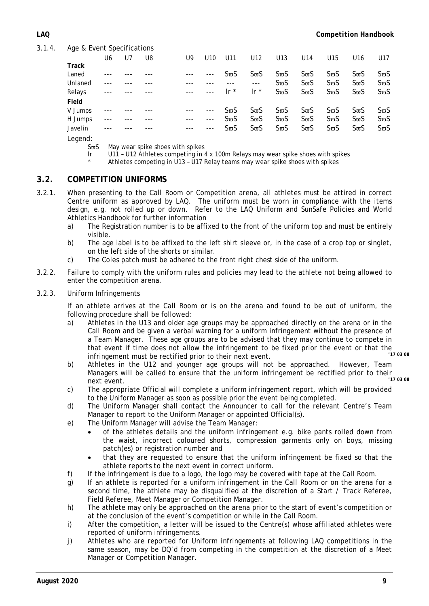3.1.4. Age & Event Specifications

| rigo a Evont opoon loations |     |    |    |       |       |                           |             |                       |                       |                       |                  |                  |
|-----------------------------|-----|----|----|-------|-------|---------------------------|-------------|-----------------------|-----------------------|-----------------------|------------------|------------------|
|                             | U6  | U7 | U8 | U9    | U10   | U11                       | U12         | U13                   | U14                   | U15                   | U <sub>16</sub>  | U17              |
| Track                       |     |    |    |       |       |                           |             |                       |                       |                       |                  |                  |
| Laned                       |     |    |    |       |       | SϖS                       | $S\varpi S$ | $S\overline{\omega}S$ | $S\overline{\omega}S$ | $S\overline{\omega}S$ | SϖS              | S <del>ω</del> S |
| Unlaned                     |     |    |    |       |       |                           | $---$       | $S\varpi S$           | $S\varpi S$           | $S\overline{\omega}S$ | SϖS              | S <del>ω</del> S |
| Relays                      | --- |    |    | $---$ | $---$ | $\mathsf{I} \mathsf{r}^*$ | Ir $*$      | $S\overline{\omega}S$ | $S\overline{\omega}S$ | $S\overline{\omega}S$ | $S\varpi S$      | S <del>ω</del> S |
| Field                       |     |    |    |       |       |                           |             |                       |                       |                       |                  |                  |
| V Jumps                     |     |    |    |       |       | SϖS                       | $S\varpi S$ | $S\overline{\omega}S$ | $S\varpi S$           | $S\overline{\omega}S$ | S <del>ω</del> S | S <del>ω</del> S |
| H Jumps                     |     |    |    |       | $---$ | SϖS                       | $S\varpi S$ | $S\varpi S$           | $S\varpi S$           | $S\overline{\omega}S$ | SϖS              | $S\varpi S$      |
| Javelin                     |     |    |    |       |       | ՏϖS                       | $S\varpi S$ | $S\varpi S$           | $S\varpi S$           | $S\varpi S$           | SϖS              | S <del>ω</del> S |
|                             |     |    |    |       |       |                           |             |                       |                       |                       |                  |                  |

Legend:

 $S<sub>σ</sub>S$  May wear spike shoes with spikes<br>Ir 1111 - 1112 Athletes competing in 4

- U11 U12 Athletes competing in 4 x 100m Relays may wear spike shoes with spikes
	- Athletes competing in U13 U17 Relay teams may wear spike shoes with spikes

#### <span id="page-9-0"></span>**3.2. COMPETITION UNIFORMS**

- 3.2.1. When presenting to the Call Room or Competition arena, all athletes must be attired in correct Centre uniform as approved by LAQ. The uniform must be worn in compliance with the items design, e.g. not rolled up or down. Refer to the LAQ Uniform and SunSafe Policies and World Athletics Handbook for further information
	- a) The Registration number is to be affixed to the front of the uniform top and must be entirely visible.
	- b) The age label is to be affixed to the left shirt sleeve or, in the case of a crop top or singlet, on the left side of the shorts or similar.
	- c) The Coles patch must be adhered to the front right chest side of the uniform.
- 3.2.2. Failure to comply with the uniform rules and policies may lead to the athlete not being allowed to enter the competition arena.
- 3.2.3. Uniform Infringements

If an athlete arrives at the Call Room or is on the arena and found to be out of uniform, the following procedure shall be followed:

- a) Athletes in the U13 and older age groups may be approached directly on the arena or in the Call Room and be given a verbal warning for a uniform infringement without the presence of a Team Manager. These age groups are to be advised that they may continue to compete in that event if time does not allow the infringement to be fixed prior the event or that the<br>infringement must be restified prior to their post suppt. infringement must be rectified prior to their next event.
- b) Athletes in the U12 and younger age groups will not be approached. However, Team Managers will be called to ensure that the uniform infringement be rectified prior to their<br>next event (17.03.08) next event. *'17 03 08*
- c) The appropriate Official will complete a uniform infringement report, which will be provided to the Uniform Manager as soon as possible prior the event being completed.
- d) The Uniform Manager shall contact the Announcer to call for the relevant Centre's Team Manager to report to the Uniform Manager or appointed Official(s).
- e) The Uniform Manager will advise the Team Manager:
	- of the athletes details and the uniform infringement e.g. bike pants rolled down from the waist, incorrect coloured shorts, compression garments only on boys, missing patch(es) or registration number and
	- that they are requested to ensure that the uniform infringement be fixed so that the athlete reports to the next event in correct uniform.
- f) If the infringement is due to a logo, the logo may be covered with tape at the Call Room.
- g) If an athlete is reported for a uniform infringement in the Call Room or on the arena for a second time, the athlete may be disqualified at the discretion of a Start / Track Referee, Field Referee, Meet Manager or Competition Manager.
- h) The athlete may only be approached on the arena prior to the start of event's competition or at the conclusion of the event's competition or while in the Call Room.
- i) After the competition, a letter will be issued to the Centre(s) whose affiliated athletes were reported of uniform infringements.
- j) Athletes who are reported for Uniform infringements at following LAQ competitions in the same season, may be DQ'd from competing in the competition at the discretion of a Meet Manager or Competition Manager.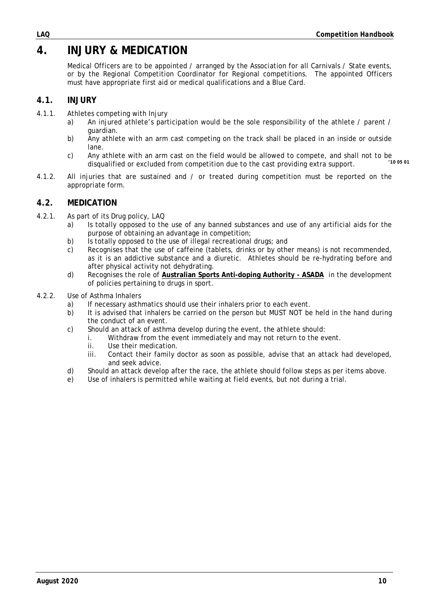# <span id="page-10-0"></span>**4. INJURY & MEDICATION**

Medical Officers are to be appointed / arranged by the Association for all Carnivals / State events, or by the Regional Competition Coordinator for Regional competitions. The appointed Officers must have appropriate first aid or medical qualifications and a Blue Card.

### <span id="page-10-1"></span>**4.1. INJURY**

- 4.1.1. Athletes competing with Injury
	- a) An injured athlete's participation would be the sole responsibility of the athlete / parent / guardian.
	- b) Any athlete with an arm cast competing on the track shall be placed in an inside or outside lane.
	- c) Any athlete with an arm cast on the field would be allowed to compete, and shall not to be disquelified at evoluded from competition due to the sect providing extra support disqualified or excluded from competition due to the cast providing extra support.
- 4.1.2. All injuries that are sustained and / or treated during competition must be reported on the appropriate form.

#### <span id="page-10-2"></span>**4.2. MEDICATION**

- 4.2.1. As part of its Drug policy, LAQ
	- a) Is totally opposed to the use of any banned substances and use of any artificial aids for the purpose of obtaining an advantage in competition;
	- b) Is totally opposed to the use of illegal recreational drugs; and c) Recognises that the use of caffeine (tablets, drinks or by other
	- Recognises that the use of caffeine (tablets, drinks or by other means) is not recommended, as it is an addictive substance and a diuretic. Athletes should be re-hydrating before and after physical activity not dehydrating.
	- d) Recognises the role of **[Australian Sports Anti-doping Authority -](https://www.asada.gov.au/) ASADA** in the development of policies pertaining to drugs in sport.
- 4.2.2. Use of Asthma Inhalers
	- a) If necessary asthmatics should use their inhalers prior to each event.
	- b) It is advised that inhalers be carried on the person but MUST NOT be held in the hand during the conduct of an event.
	- c) Should an attack of asthma develop during the event, the athlete should:
		- i. Withdraw from the event immediately and may not return to the event.
			- ii. Use their medication.<br>iii. Contact their family
			- Contact their family doctor as soon as possible, advise that an attack had developed, and seek advice.
	- d) Should an attack develop after the race, the athlete should follow steps as per items above.
	- e) Use of inhalers is permitted while waiting at field events, but not during a trial.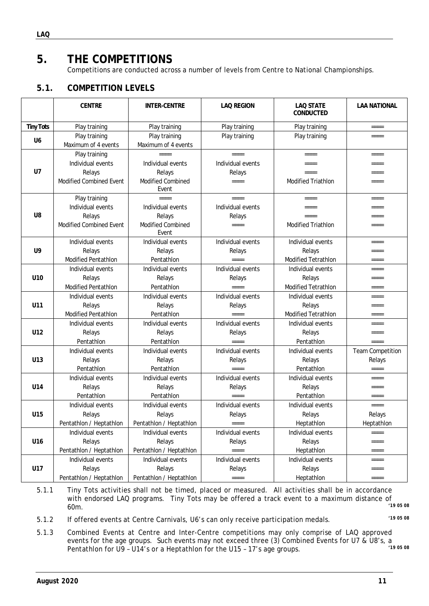# <span id="page-11-0"></span>**5. THE COMPETITIONS**

Competitions are conducted across a number of levels from Centre to National Championships.

### <span id="page-11-1"></span>**5.1. COMPETITION LEVELS**

|                  | <b>CENTRE</b>                        | <b>INTER-CENTRE</b>                  | <b>LAQ REGION</b> | <b>LAQ STATE</b><br><b>CONDUCTED</b> | <b>LAA NATIONAL</b>     |
|------------------|--------------------------------------|--------------------------------------|-------------------|--------------------------------------|-------------------------|
| <b>Tiny Tots</b> | Play training                        | Play training                        | Play training     | Play training                        | $=$ $=$ $=$ $=$         |
| U <sub>6</sub>   | Play training<br>Maximum of 4 events | Play training<br>Maximum of 4 events | Play training     | Play training                        | $====$                  |
|                  | Play training                        |                                      | $=$ $=$ $=$ $=$   | $====$                               | ====                    |
|                  | Individual events                    | Individual events                    | Individual events | $====$                               | $====$                  |
| U <sub>7</sub>   | Relays                               | Relays                               | Relays            | $=$ $=$ $=$ $=$                      | $=$ $=$ $=$ $=$         |
|                  | <b>Modified Combined Event</b>       | <b>Modified Combined</b><br>Fvent    | $====$            | <b>Modified Triathlon</b>            | $====$                  |
|                  | Play training                        | $=$ $=$ $=$ $=$                      | ====              | $====$                               | $====$                  |
|                  | Individual events                    | Individual events                    | Individual events | $====$                               | $====$                  |
| U <sub>8</sub>   | Relays                               | Relays                               | Relays            | $====$                               | $====$                  |
|                  | Modified Combined Event              | <b>Modified Combined</b><br>Event    | $====$            | <b>Modified Triathlon</b>            | $====$                  |
|                  | Individual events                    | Individual events                    | Individual events | Individual events                    | $=$ $=$ $=$ $=$         |
| U9               | Relays                               | Relays                               | Relays            | Relays                               | $====$                  |
|                  | <b>Modified Pentathlon</b>           | Pentathlon                           | $=$ $=$ $=$ $=$   | <b>Modified Tetrathlon</b>           | $====$                  |
|                  | Individual events                    | Individual events                    | Individual events | Individual events                    | $=$ $=$ $=$ $=$         |
| U10              | Relays<br>Relays                     |                                      | Relays            | Relays                               | $====$                  |
|                  | <b>Modified Pentathlon</b>           | Pentathlon                           | ====              | <b>Modified Tetrathlon</b>           | $====$                  |
|                  | Individual events                    | Individual events                    | Individual events | Individual events                    | $=$ $=$ $=$             |
| U11              | Relays                               | Relays                               | Relays            | Relays                               | $=$ $=$ $=$ $=$         |
|                  | <b>Modified Pentathlon</b>           | Pentathlon                           | $=$ $=$ $=$ $=$   | <b>Modified Tetrathlon</b>           | $====$                  |
|                  | Individual events                    | Individual events                    | Individual events | Individual events                    | $====$                  |
| U12              | Relays                               | Relays                               | Relays            | Relays                               | $====$                  |
|                  | Pentathlon                           | Pentathlon                           | $====$            | Pentathlon                           | $=$ $=$ $=$ $=$         |
|                  | Individual events                    | Individual events                    | Individual events | Individual events                    | <b>Team Competition</b> |
| U13              | Relays                               | Relays                               | Relays            | Relays                               | Relays                  |
|                  | Pentathlon                           | Pentathlon                           | ====              | Pentathlon                           | $=$ $=$ $=$ $=$         |
|                  | Individual events                    | Individual events                    | Individual events | Individual events                    | $=$ $=$ $=$ $=$         |
| U14              | Relays                               | Relays                               | Relays            | Relays                               | $====$                  |
|                  | Pentathlon                           | Pentathlon                           | $=$ $=$ $=$ $=$   | Pentathlon                           | $====$                  |
|                  | Individual events                    | Individual events                    | Individual events | Individual events                    | $=$ $=$ $=$ $=$         |
| U15              | Relays                               | Relays                               | Relays            | Relays                               | Relays                  |
|                  | Pentathlon / Heptathlon              | Pentathion / Heptathion              | $= = = =$         | Heptathlon                           | Heptathlon              |
|                  | Individual events                    | Individual events                    | Individual events | Individual events                    | $====$                  |
| U16              | Relays                               | Relays                               | Relays            | Relays                               | $== == =$               |
|                  | Pentathlon / Heptathlon              | Pentathlon / Heptathlon              | ====              | Heptathlon                           | $= = = =$               |
|                  | Individual events                    | Individual events                    | Individual events | Individual events                    | $====$                  |
| U17              | Relays                               | Relays                               | Relays            | Relays                               | $== == =$               |
|                  | Pentathlon / Heptathlon              | Pentathlon / Heptathlon              | ====              | Heptathlon                           | $=$ $=$ $=$ $=$         |

5.1.1 Tiny Tots activities shall not be timed, placed or measured. All activities shall be in accordance with endorsed LAQ programs. Tiny Tots may be offered a track event to a maximum distance of<br>60m 60m. *'19 <sup>05</sup> <sup>08</sup>*

5.1.2 If offered events at Centre Carnivals, U6's can only receive participation medals. *'19 <sup>05</sup> <sup>08</sup>*

5.1.3 Combined Events at Centre and Inter-Centre competitions may only comprise of LAQ approved events for the age groups. Such events may not exceed three (3) Combined Events for U7 & U8's, a<br>Pentathlon for U8 - U14's or a Hentathlon for the U15 - 17's age groups Pentathlon for U9 - U14's or a Heptathlon for the U15 - 17's age groups.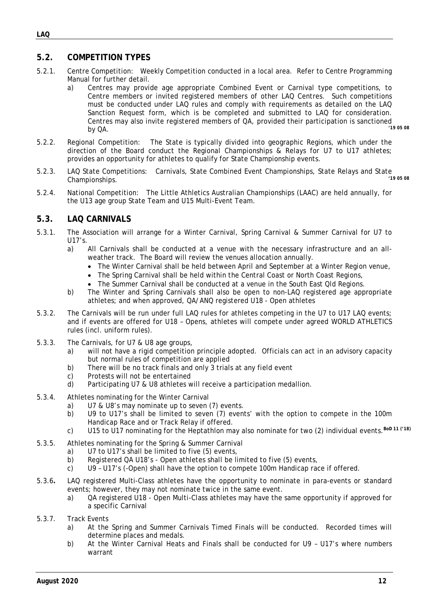#### <span id="page-12-0"></span>**5.2. COMPETITION TYPES**

- 5.2.1. Centre Competition: Weekly Competition conducted in a local area. Refer to Centre Programming Manual for further detail.
	- a) Centres may provide age appropriate Combined Event or Carnival type competitions, to Centre members or invited registered members of other LAQ Centres. Such competitions must be conducted under LAQ rules and comply with requirements as detailed on the LAQ Sanction Request form, which is be completed and submitted to LAQ for consideration. Centres may also invite registered members of  $QA$ , provided their participation is sanctioned<br>by  $QA$ . by QA. *'19 <sup>05</sup> <sup>08</sup>*
- 5.2.2. Regional Competition: The State is typically divided into geographic Regions, which under the direction of the Board conduct the Regional Championships & Relays for U7 to U17 athletes; provides an opportunity for athletes to qualify for State Championship events.
- 5.2.3. LAQ State Competitions: Carnivals, State Combined Event Championships, State Relays and State Companionships  $Championships.$
- 5.2.4. National Competition: The Little Athletics Australian Championships (LAAC) are held annually, for the U13 age group State Team and U15 Multi-Event Team.

#### <span id="page-12-1"></span>**5.3. LAQ CARNIVALS**

- 5.3.1. The Association will arrange for a Winter Carnival, Spring Carnival & Summer Carnival for U7 to U17's.
	- All Carnivals shall be conducted at a venue with the necessary infrastructure and an allweather track. The Board will review the venues allocation annually.
		- The Winter Carnival shall be held between April and September at a Winter Region venue,
		- The Spring Carnival shall be held within the Central Coast or North Coast Regions,
		- The Summer Carnival shall be conducted at a venue in the South East Qld Regions.
	- b) The Winter and Spring Carnivals shall also be open to non-LAQ registered age appropriate athletes; and when approved, QA/ANQ registered U18 - Open athletes
- 5.3.2. The Carnivals will be run under full LAQ rules for athletes competing in the U7 to U17 LAQ events; and if events are offered for U18 – Opens, athletes will compete under agreed WORLD ATHLETICS rules (incl. uniform rules).
- 5.3.3. The Carnivals, for U7 & U8 age groups,
	- a) will not have a rigid competition principle adopted. Officials can act in an advisory capacity but normal rules of competition are applied
	- b) There will be no track finals and only 3 trials at any field event
	- c) Protests will not be entertained<br>d) Participating U7 & U8 athletes w
	- Participating U7 & U8 athletes will receive a participation medallion.
- 5.3.4. Athletes nominating for the Winter Carnival
	- a) U7 & U8's may nominate up to seven (7) events.
	- b) U9 to U17's shall be limited to seven (7) events' with the option to compete in the 100m Handicap Race and or Track Relay if offered.
	- c) U15 to U17 nominating for the Heptathlon may also nominate for two (2) individual events.*BoD 11 ('18)*
- 5.3.5. Athletes nominating for the Spring & Summer Carnival
	- a) U7 to U17's shall be limited to five (5) events,
	- b) Registered QA U18's Open athletes shall be limited to five (5) events,
	- c) U9 U17's (-Open) shall have the option to compete 100m Handicap race if offered.
- 5.3.6**.** LAQ registered Multi-Class athletes have the opportunity to nominate in para-events or standard events; however, they may not nominate twice in the same event.
	- a) QA registered U18 Open Multi-Class athletes may have the same opportunity if approved for a specific Carnival
- 5.3.7. Track Events
	- a) At the Spring and Summer Carnivals Timed Finals will be conducted. Recorded times will determine places and medals.
	- b) At the Winter Carnival Heats and Finals shall be conducted for U9 U17's where numbers warrant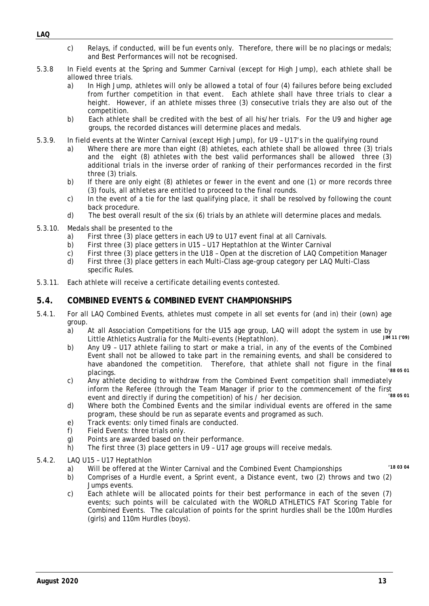*August 2020 13*

- c) Relays, if conducted, will be fun events only. Therefore, there will be no placings or medals; and Best Performances will not be recognised.
- 5.3.8 In Field events at the Spring and Summer Carnival (except for High Jump), each athlete shall be allowed three trials.
	- a) In High Jump, athletes will only be allowed a total of four (4) failures before being excluded from further competition in that event. Each athlete shall have three trials to clear a height. However, if an athlete misses three (3) consecutive trials they are also out of the competition.
	- b) Each athlete shall be credited with the best of all his/her trials. For the U9 and higher age groups, the recorded distances will determine places and medals.
- 5.3.9. In field events at the Winter Carnival (except High Jump), for U9 U17's in the qualifying round
	- a) Where there are more than eight (8) athletes, each athlete shall be allowed three (3) trials and the eight (8) athletes with the best valid performances shall be allowed three (3) additional trials in the inverse order of ranking of their performances recorded in the first three (3) trials.
	- b) If there are only eight (8) athletes or fewer in the event and one (1) or more records three (3) fouls, all athletes are entitled to proceed to the final rounds.
	- c) In the event of a tie for the last qualifying place, it shall be resolved by following the count back procedure.
	- d) The best overall result of the six (6) trials by an athlete will determine places and medals.
- 5.3.10. Medals shall be presented to the
	- a) First three (3) place getters in each U9 to U17 event final at all Carnivals.
	-
	- b) First three (3) place getters in U15 U17 Heptathlon at the Winter Carnival c) First three (3) place getters in the U18 Open at the discretion of LAQ Com c) First three (3) place getters in the U18 - Open at the discretion of LAQ Competition Manager<br>d) First three (3) place getters in each Multi-Class age-group category per LAO Multi-Class
	- First three (3) place getters in each Multi-Class age-group category per LAQ Multi-Class specific Rules.
- <span id="page-13-0"></span>5.3.11. Each athlete will receive a certificate detailing events contested.

#### **5.4. COMBINED EVENTS & COMBINED EVENT CHAMPIONSHIPS**

- 5.4.1. For all LAQ Combined Events, athletes must compete in all set events for (and in) their (own) age group.<br>a)
	- At all Association Competitions for the U15 age group, LAQ will adopt the system in use by<br>Little Athlotics Australia for the Multi events (Hentathlon) Little Athletics Australia for the Multi-events (Heptathlon).
	- b) Any U9 U17 athlete failing to start or make a trial, in any of the events of the Combined Event shall not be allowed to take part in the remaining events, and shall be considered to have abandoned the competition. Therefore, that athlete shall not figure in the final<br>relations placings. *'88 05 01*
	- c) Any athlete deciding to withdraw from the Combined Event competition shall immediately inform the Referee (through the Team Manager if prior to the commencement of the first over and directly if during the competition) of his  $\ell$  ber decision event and directly if during the competition) of his / her decision.
	- d) Where both the Combined Events and the similar individual events are offered in the same program, these should be run as separate events and programed as such.
	- e) Track events: only timed finals are conducted.<br>f) Field Events: three trials only.
	- Field Events: three trials only.
	- g) Points are awarded based on their performance.
	- h) The first three (3) place getters in U9 U17 age groups will receive medals.
- 5.4.2. LAQ U15 U17 Heptathlon
	- a) Will be offered at the Winter Carnival and the Combined Event Championships *'18 03 <sup>04</sup>*
	- b) Comprises of a Hurdle event, a Sprint event, a Distance event, two (2) throws and two (2) Jumps events.
	- c) Each athlete will be allocated points for their best performance in each of the seven (7) events; such points will be calculated with the WORLD ATHLETICS FAT Scoring Table for Combined Events. The calculation of points for the sprint hurdles shall be the 100m Hurdles (girls) and 110m Hurdles (boys).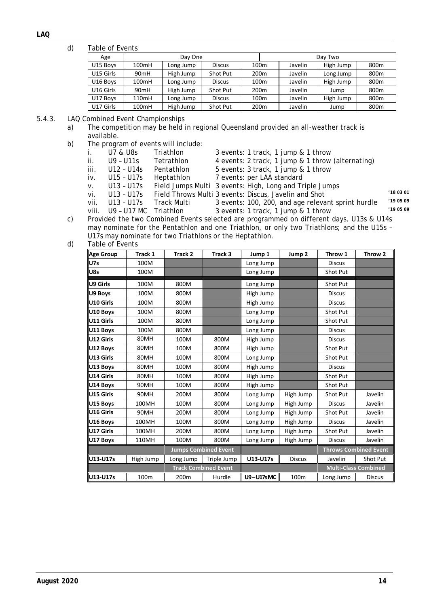#### *LAQ*

#### d) Table of Events

| Age       |                  | Day One   |               |                  | Day Two |         |           |                  |  |
|-----------|------------------|-----------|---------------|------------------|---------|---------|-----------|------------------|--|
| U15 Boys  | 100mH            | Long Jump | <b>Discus</b> | 100m             |         | Javelin | High Jump | 800 <sub>m</sub> |  |
| U15 Girls | 90 <sub>mH</sub> | High Jump | Shot Put      | 200 <sub>m</sub> |         | Javelin | Long Jump | 800 <sub>m</sub> |  |
| U16 Boys  | 100mH            | Long Jump | <b>Discus</b> | 100m             |         | Javelin | High Jump | 800 <sub>m</sub> |  |
| U16 Girls | 90 <sub>mH</sub> | High Jump | Shot Put      | 200 <sub>m</sub> |         | Javelin | Jump      | 800 <sub>m</sub> |  |
| U17 Boys  | 110mH            | Long Jump | <b>Discus</b> | 100m             |         | Javelin | High Jump | 800 <sub>m</sub> |  |
| U17 Girls | 100mH            | High Jump | Shot Put      | 200 <sub>m</sub> |         | Javelin | Jump      | 800 <sub>m</sub> |  |

#### 5.4.3. LAQ Combined Event Championships

a) The competition may be held in regional Queensland provided an all-weather track is available.

- b) The program of events will include:<br>i. U7 & U8s Triathlon
	- i. U7 & U8s Triathlon 3 events: 1 track, 1 jump & 1 throw<br>ii. U9 U11s Tetrathlon 4 events: 2 track, 1 jump & 1 throw

ii. U9 - U11s Tetrathlon 4 events: 2 track, 1 jump & 1 throw (alternating)<br>iii. U12 - U14s Pentathlon 5 events: 3 track, 1 jump & 1 throw

- 5 events: 3 track, 1 jump & 1 throw
- 
- 
- iv. U15 U17s Heptathlon 7 events: per LAA standard<br>v. U13 U17s Field Jumps Multi 3 events: High, Long and Tr
- v. U13 U17s Field Jumps Multi 3 events: High, Long and Triple Jumps vi. U13 U17s Field Throws Multi 3 events: Discus, Javelin and Shot vi. U13 – U17s Field Throws Multi 3 events: Discus, Javelin and Shot *'18 03 01*
	-
- vii. U13 U17s Track Multi 3 events: 100, 200, and age relevant sprint hurdle *'19 05 09* 3 events: 1 track, 1 jump & 1 throw
- c) Provided the two Combined Events selected are programmed on different days, U13s & U14s may nominate for the Pentathlon and one Triathlon, or only two Triathlons; and the U15s – U17s may nominate for two Triathlons or the Heptathlon*.*
- d) Table of Events

<span id="page-14-0"></span>

| <b>Age Group</b> | Track 1   | Track 2   | Track 3                     | Jump 1           | Jump <sub>2</sub> | Throw 1       | Throw 2                      |  |
|------------------|-----------|-----------|-----------------------------|------------------|-------------------|---------------|------------------------------|--|
| <b>U7s</b>       | 100M      |           |                             | Long Jump        |                   | <b>Discus</b> |                              |  |
| U8s              | 100M      |           |                             | Long Jump        |                   | Shot Put      |                              |  |
| U9 Girls         | 100M      | 800M      |                             | Long Jump        |                   | Shot Put      |                              |  |
| U9 Boys          | 100M      | 800M      |                             | High Jump        |                   | <b>Discus</b> |                              |  |
| U10 Girls        | 100M      | 800M      |                             | High Jump        |                   | <b>Discus</b> |                              |  |
| U10 Boys         | 100M      | 800M      |                             | Long Jump        |                   | Shot Put      |                              |  |
| U11 Girls        | 100M      | 800M      |                             | Long Jump        |                   | Shot Put      |                              |  |
| U11 Boys         | 100M      | 800M      |                             | Long Jump        |                   | <b>Discus</b> |                              |  |
| U12 Girls        | 80MH      | 100M      | 800M                        | High Jump        |                   | <b>Discus</b> |                              |  |
| U12 Boys         | 80MH      | 100M      | 800M                        | High Jump        |                   | Shot Put      |                              |  |
| U13 Girls        | 80MH      | 100M      | 800M                        | Long Jump        |                   | Shot Put      |                              |  |
| U13 Boys         | 80MH      | 100M      | 800M                        | High Jump        |                   | <b>Discus</b> |                              |  |
| U14 Girls        | 80MH      | 100M      | 800M                        | High Jump        |                   | Shot Put      |                              |  |
| U14 Boys         | 90MH      | 100M      | 800M                        | High Jump        |                   | Shot Put      |                              |  |
| U15 Girls        | 90MH      | 200M      | 800M                        | Long Jump        | High Jump         | Shot Put      | Javelin                      |  |
| U15 Boys         | 100MH     | 100M      | 800M                        | Long Jump        | High Jump         | <b>Discus</b> | Javelin                      |  |
| U16 Girls        | 90MH      | 200M      | 800M                        | Long Jump        | High Jump         | Shot Put      | Javelin                      |  |
| U16 Boys         | 100MH     | 100M      | 800M                        | Long Jump        | High Jump         | <b>Discus</b> | Javelin                      |  |
| U17 Girls        | 100MH     | 200M      | 800M                        | Long Jump        | High Jump         | Shot Put      | Javelin                      |  |
| U17 Boys         | 110MH     | 100M      | 800M                        | Long Jump        | High Jump         | <b>Discus</b> | Javelin                      |  |
|                  |           |           | <b>Jumps Combined Event</b> |                  |                   |               | <b>Throws Combined Event</b> |  |
| U13-U17s         | High Jump | Long Jump | Triple Jump                 | U13-U17s         | <b>Discus</b>     | Javelin       | Shot Put                     |  |
|                  |           |           | <b>Track Combined Event</b> |                  |                   |               | <b>Multi-Class Combined</b>  |  |
| U13-U17s         | 100m      | 200m      | Hurdle                      | <b>U9-U17sMC</b> | 100m              | Long Jump     | <b>Discus</b>                |  |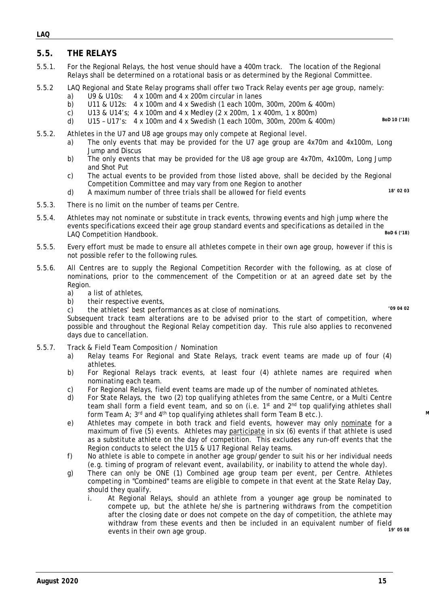#### **5.5. THE RELAYS**

- 5.5.1. For the Regional Relays, the host venue should have a 400m track. The location of the Regional Relays shall be determined on a rotational basis or as determined by the Regional Committee.
- 5.5.2 LAQ Regional and State Relay programs shall offer two Track Relay events per age group, namely:
	- a) U9 & U10s: 4 x 100m and 4 x 200m circular in lanes
	- b) U11 & U12s: 4 x 100m and 4 x Swedish (1 each 100m, 300m, 200m & 400m)
	- c) U13 & U14's;  $4 \times 100$ m and  $4 \times$  Medley ( $2 \times 200$ m,  $1 \times 400$ m,  $1 \times 800$ m)<br>d) U15 U17's:  $4 \times 100$ m and  $4 \times$  Swedish (1 each 100m, 300m, 200m & 4
	- d) U15 U17's: 4 x 100m and 4 x Swedish (1 each 100m, 300m, 200m & 400m) *BoD 10 ('18)*
- 5.5.2. Athletes in the U7 and U8 age groups may only compete at Regional level.
	- a) The only events that may be provided for the U7 age group are 4x70m and 4x100m, Long Jump and Discus
	- b) The only events that may be provided for the U8 age group are 4x70m, 4x100m, Long Jump and Shot Put
	- c) The actual events to be provided from those listed above, shall be decided by the Regional Competition Committee and may vary from one Region to another
	- d) A maximum number of three trials shall be allowed for field events *18' 02 03*
- 5.5.4. Athletes may not nominate or substitute in track events, throwing events and high jump where the events specifications exceed their age group standard events and specifications as detailed in the<br>LAO Competition Handbook LAQ Competition Handbook.
- 5.5.5. Every effort must be made to ensure all athletes compete in their own age group, however if this is not possible refer to the following rules.
- 5.5.6. All Centres are to supply the Regional Competition Recorder with the following, as at close of nominations, prior to the commencement of the Competition or at an agreed date set by the Region.
	- a) a list of athletes,
	- b) their respective events,
	- c) the athletes' best performances as at close of nominations. *'09 04 02*

Subsequent track team alterations are to be advised prior to the start of competition, where possible and throughout the Regional Relay competition day. This rule also applies to reconvened days due to cancellation.

5.5.7. Track & Field Team Composition / Nomination

5.5.3. There is no limit on the number of teams per Centre.

- a) Relay teams For Regional and State Relays, track event teams are made up of four (4) athletes.
- b) For Regional Relays track events, at least four (4) athlete names are required when nominating each team.
- c) For Regional Relays, field event teams are made up of the number of nominated athletes.
- d) For State Relays, the two (2) top qualifying athletes from the same Centre, or a Multi Centre team shall form a field event team, and so on (i.e. 1<sup>st</sup> and 2<sup>nd</sup> top qualifying athletes shall form Team A; 3<sup>rd</sup> and 4<sup>th</sup> top qualifying athletes shall form Team B etc.).
- e) Athletes may compete in both track and field events, however may only nominate for a maximum of five (5) events. Athletes may participate in six (6) events if that athlete is used as a substitute athlete on the day of competition. This excludes any run-off events that the Region conducts to select the U15 & U17 Regional Relay teams.
- f) No athlete is able to compete in another age group/gender to suit his or her individual needs (e.g. timing of program of relevant event, availability, or inability to attend the whole day).
- g) There can only be ONE (1) Combined age group team per event, per Centre. Athletes competing in "Combined" teams are eligible to compete in that event at the State Relay Day, should they qualify.
	- i. At Regional Relays, should an athlete from a younger age group be nominated to compete up, but the athlete he/she is partnering withdraws from the competition after the closing date or does not compete on the day of competition, the athlete may withdraw from these events and then be included in an equivalent number of field<br>avents in their own age group events in their own age group.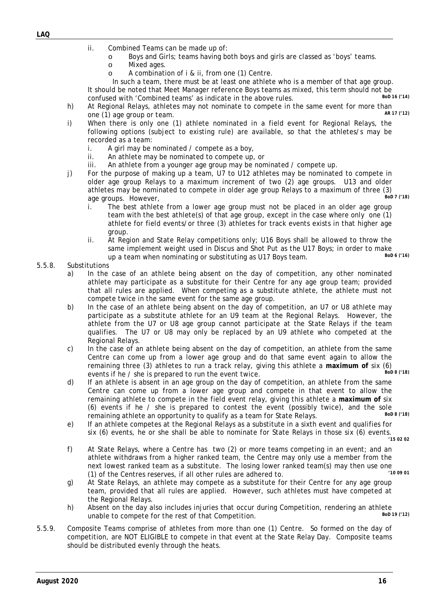- ii. Combined Teams can be made up of:
	- o Boys and Girls; teams having both boys and girls are classed as 'boys' teams.
	- o Mixed ages.<br>o A combinati
	- A combination of i & ii, from one (1) Centre.

In such a team, there must be at least one athlete who is a member of that age group. It should be noted that Meet Manager reference Boys teams as mixed, this term should not be<br>confused with 'Combined teams' as indicate in the above rules confused with 'Combined teams' as indicate in the above rules.

- h) At Regional Relays, athletes may not nominate to compete in the same event for more than  $\frac{AB \cdot 17 \cdot (12)}{AB \cdot 17 \cdot (12)}$ one (1) age group or team.
- i) When there is only one (1) athlete nominated in a field event for Regional Relays, the following options (subject to existing rule) are available, so that the athletes/s may be recorded as a team:
	- i. A girl may be nominated / compete as a boy,
	- ii. An athlete may be nominated to compete up, or
	- iii. An athlete from a younger age group may be nominated / compete up.
- j) For the purpose of making up a team, U7 to U12 athletes may be nominated to compete in older age group Relays to a maximum increment of two (2) age groups. U13 and older athletes may be nominated to compete in older age group Relays to a maximum of three  $(3)$ <br>age groups However Bould T (18) age groups. However,
	- i. The best athlete from a lower age group must not be placed in an older age group team with the best athlete(s) of that age group, except in the case where only one (1) athlete for field events/or three (3) athletes for track events exists in that higher age group.
	- ii. At Region and State Relay competitions only; U16 Boys shall be allowed to throw the same implement weight used in Discus and Shot Put as the U17 Boys; in order to make<br>up a toam whon pominating or substituting as U17 Boys toam up a team when nominating or substituting as U17 Boys team.

#### 5.5.8. Substitutions

- a) In the case of an athlete being absent on the day of competition, any other nominated athlete may participate as a substitute for their Centre for any age group team; provided that all rules are applied. When competing as a substitute athlete, the athlete must not compete twice in the same event for the same age group.
- b) In the case of an athlete being absent on the day of competition, an U7 or U8 athlete may participate as a substitute athlete for an U9 team at the Regional Relays. However, the athlete from the U7 or U8 age group cannot participate at the State Relays if the team qualifies. The U7 or U8 may only be replaced by an U9 athlete who competed at the Regional Relays.
- c) In the case of an athlete being absent on the day of competition, an athlete from the same Centre can come up from a lower age group and do that same event again to allow the remaining three (3) athletes to run a track relay, giving this athlete a maximum of six (6)<br>events if he *(she is prepared* to run the event twice) events if he / she is prepared to run the event twice.
- d) If an athlete is absent in an age group on the day of competition, an athlete from the same Centre can come up from a lower age group and compete in that event to allow the remaining athlete to compete in the field event relay, giving this athlete a **maximum of** six (6) events if he / she is prepared to contest the event (possibly twice), and the sole remaining athlete an opportunity to qualify as a team for State Relays remaining athlete an opportunity to qualify as a team for State Relays.
- e) If an athlete competes at the Regional Relays as a substitute in a sixth event and qualifies for six (6) events, he or she shall be able to nominate for State Relays in those six (6) events.

*'15 02 02*

- f) At State Relays, where a Centre has two (2) or more teams competing in an event; and an athlete withdraws from a higher ranked team, the Centre may only use a member from the next lowest ranked team as a substitute. The losing lower ranked team(s) may then use one<br>(1) of the Centres reserves, if all other rules are adhered to (1) of the Centres reserves, if all other rules are adhered to. *'10 09 01*
- g) At State Relays, an athlete may compete as a substitute for their Centre for any age group team, provided that all rules are applied. However, such athletes must have competed at the Regional Relays.
- h) Absent on the day also includes injuries that occur during Competition, rendering an athlete<br>unable to compete for the rest of that Competition unable to compete for the rest of that Competition.
- 5.5.9. Composite Teams comprise of athletes from more than one (1) Centre. So formed on the day of competition, are NOT ELIGIBLE to compete in that event at the State Relay Day. Composite teams should be distributed evenly through the heats.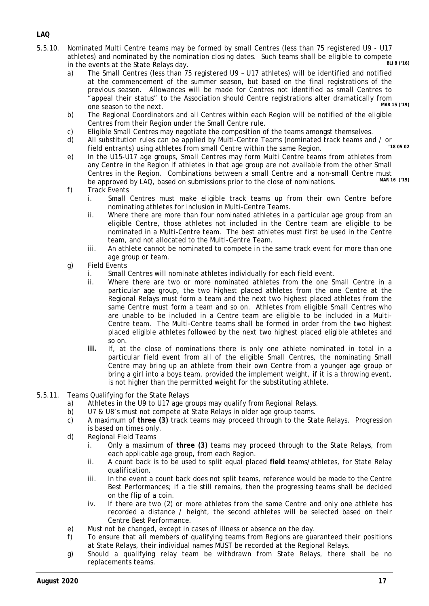- 5.5.10. Nominated Multi Centre teams may be formed by small Centres (less than 75 registered U9 U17 athletes) and nominated by the nomination closing dates. Such teams shall be eligible to compete<br>in the events at the State Polays day. in the events at the State Relays day.
	- a) The Small Centres (less than 75 registered U9 U17 athletes) will be identified and notified at the commencement of the summer season, but based on the final registrations of the previous season. Allowances will be made for Centres not identified as small Centres to "appeal their status" to the Association should Centre registrations alter dramatically from<br>One season to the next<br>
	One season to the next  $one$  season to the next.
	- b) The Regional Coordinators and all Centres within each Region will be notified of the eligible Centres from their Region under the Small Centre rule.
	- c) Eligible Small Centres may negotiate the composition of the teams amongst themselves.<br>
	d) All substitution rules can be applied by Multi-Centre Teams (nominated track teams and
	- All substitution rules can be applied by Multi-Centre Teams (nominated track teams and / or<br>field entrepte) using athletes from small Centre within the same Begien field entrants) using athletes from small Centre within the same Region.
	- e) In the U15-U17 age groups, Small Centres may form Multi Centre teams from athletes from any Centre in the Region if athletes in that age group are not available from the other Small Centres in the Region. Combinations between a small Centre and a non-small Centre must<br>be approved by LAO, based on submissions prior to the close of nominations be approved by LAQ, based on submissions prior to the close of nominations.
	- f) Track Events
		- i. Small Centres must make eligible track teams up from their own Centre before nominating athletes for inclusion in Multi-Centre Teams.
		- ii. Where there are more than four nominated athletes in a particular age group from an eligible Centre, those athletes not included in the Centre team are eligible to be nominated in a Multi-Centre team. The best athletes must first be used in the Centre team, and not allocated to the Multi-Centre Team.
		- iii. An athlete cannot be nominated to compete in the same track event for more than one age group or team.
	- g) Field Events
		- i. Small Centres will nominate athletes individually for each field event.<br>ii. Where there are two or more nominated athletes from the one S
			- Where there are two or more nominated athletes from the one Small Centre in a particular age group, the two highest placed athletes from the one Centre at the Regional Relays must form a team and the next two highest placed athletes from the same Centre must form a team and so on. Athletes from eligible Small Centres who are unable to be included in a Centre team are eligible to be included in a Multi-Centre team. The Multi-Centre teams shall be formed in order from the two highest placed eligible athletes followed by the next two highest placed eligible athletes and so on.
		- **iii.** If, at the close of nominations there is only one athlete nominated in total in a particular field event from all of the eligible Small Centres, the nominating Small Centre may bring up an athlete from their own Centre from a younger age group or bring a girl into a boys team, provided the implement weight, if it is a throwing event, is not higher than the permitted weight for the substituting athlete.
- 5.5.11. Teams Qualifying for the State Relays
	- a) Athletes in the U9 to U17 age groups may qualify from Regional Relays.
	- b) U7 & U8's must not compete at State Relays in older age group teams.<br>c) A maximum of three (3) track teams may proceed through to the Sta
	- c) A maximum of **three (3)** track teams may proceed through to the State Relays. Progression is based on times only.
	- d) Regional Field Teams
		- i. Only a maximum of **three (3)** teams may proceed through to the State Relays, from each applicable age group, from each Region.
		- ii. A count back is to be used to split equal placed **field** teams/athletes, for State Relay qualification.
		- iii. In the event a count back does not split teams, reference would be made to the Centre Best Performances; if a tie still remains, then the progressing teams shall be decided on the flip of a coin.
		- iv. If there are two (2) or more athletes from the same Centre and only one athlete has recorded a distance / height, the second athletes will be selected based on their Centre Best Performance.
	- e) Must not be changed, except in cases of illness or absence on the day.
	- f) To ensure that all members of qualifying teams from Regions are guaranteed their positions at State Relays, their individual names MUST be recorded at the Regional Relays.
	- g) Should a qualifying relay team be withdrawn from State Relays, there shall be no replacements teams.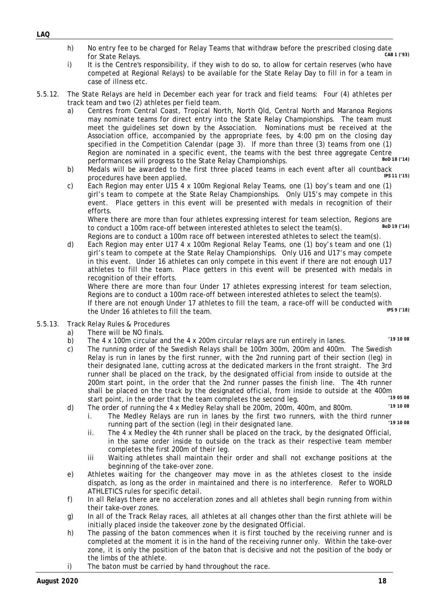- h) No entry fee to be charged for Relay Teams that withdraw before the prescribed closing date<br>for Stato Polays (93) for State Relays.
- i) It is the Centre's responsibility, if they wish to do so, to allow for certain reserves (who have competed at Regional Relays) to be available for the State Relay Day to fill in for a team in case of illness etc.
- 5.5.12. The State Relays are held in December each year for track and field teams: Four (4) athletes per track team and two (2) athletes per field team.
	- a) Centres from Central Coast, Tropical North, North Qld, Central North and Maranoa Regions may nominate teams for direct entry into the State Relay Championships. The team must meet the guidelines set down by the Association. Nominations must be received at the Association office, accompanied by the appropriate fees, by 4:00 pm on the closing day specified in the Competition Calendar (page 3). If more than three (3) teams from one (1) Region are nominated in a specific event, the teams with the best three aggregate Centre<br>norformances will pregress to the State Relay Championships performances will progress to the State Relay Championships.
	- b) Medals will be awarded to the first three placed teams in each event after all countback procedures have been applied procedures have been applied.
	- c) Each Region may enter U15 4 x 100m Regional Relay Teams, one (1) boy's team and one (1) girl's team to compete at the State Relay Championships. Only U15's may compete in this event. Place getters in this event will be presented with medals in recognition of their efforts.

Where there are more than four athletes expressing interest for team selection, Regions are<br>to conduct a 100m race off between interested athletes to select the team(s)  $B_0D 19$  (14) to conduct a 100m race-off between interested athletes to select the team(s).

Regions are to conduct a 100m race off between interested athletes to select the team(s). d) Each Region may enter U17 4 x 100m Regional Relay Teams, one (1) boy's team and one (1) girl's team to compete at the State Relay Championships. Only U16 and U17's may compete in this event. Under 16 athletes can only compete in this event if there are not enough U17 athletes to fill the team. Place getters in this event will be presented with medals in recognition of their efforts.

Where there are more than four Under 17 athletes expressing interest for team selection, Regions are to conduct a 100m race-off between interested athletes to select the team(s). If there are not enough Under 17 athletes to fill the team, a race-off will be conducted with<br>the Under 16 athletes to fill the team the Under 16 athletes to fill the team.

- 5.5.13. Track Relay Rules & Procedures
	- a) There will be NO finals.
	- b) The 4 x 100m circular and the 4 x 200m circular relays are run entirely in lanes. *'19 10 <sup>08</sup>*
	- c) The running order of the Swedish Relays shall be 100m 300m, 200m and 400m. The Swedish Relay is run in lanes by the first runner, with the 2nd running part of their section (leg) in their designated lane, cutting across at the dedicated markers in the front straight. The 3rd runner shall be placed on the track, by the designated official from inside to outside at the 200m start point, in the order that the 2nd runner passes the finish line. The 4th runner shall be placed on the track by the designated official, from inside to outside at the 400m<br>start point, in the order that the team completes the second log start point, in the order that the team completes the second leg. *'19 05 08*
	- d) The order of running the 4 x Medley Relay shall be 200m, 200m, 400m, and 800m. *'19 10 <sup>08</sup>*
		- i. The Medley Relays are run in lanes by the first two runners, with the third runner<br>running part of the section (leg) in their designated lane running part of the section (leg) in their designated lane.
		- ii. The 4 x Medley the 4th runner shall be placed on the track, by the designated Official, in the same order inside to outside on the track as their respective team member completes the first 200m of their leg.
		- iii Waiting athletes shall maintain their order and shall not exchange positions at the beginning of the take-over zone.
	- e) Athletes waiting for the changeover may move in as the athletes closest to the inside dispatch, as long as the order in maintained and there is no interference. Refer to WORLD ATHLETICS rules for specific detail.
	- f) In all Relays there are no acceleration zones and all athletes shall begin running from within their take-over zones.
	- g) In all of the Track Relay races, all athletes at all changes other than the first athlete will be initially placed inside the takeover zone by the designated Official.
	- h) The passing of the baton commences when it is first touched by the receiving runner and is completed at the moment it is in the hand of the receiving runner only. Within the take-over zone, it is only the position of the baton that is decisive and not the position of the body or the limbs of the athlete.
	- i) The baton must be carried by hand throughout the race.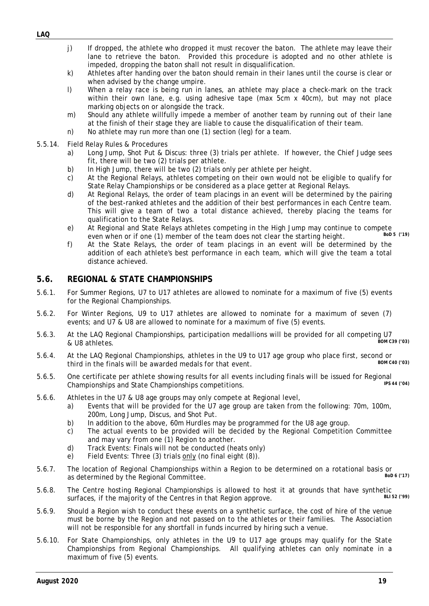- j) If dropped, the athlete who dropped it must recover the baton. The athlete may leave their lane to retrieve the baton. Provided this procedure is adopted and no other athlete is impeded, dropping the baton shall not result in disqualification.
- k) Athletes after handing over the baton should remain in their lanes until the course is clear or when advised by the change umpire.
- l) When a relay race is being run in lanes, an athlete may place a check-mark on the track within their own lane, e.g. using adhesive tape (max 5cm x 40cm), but may not place marking objects on or alongside the track.
- m) Should any athlete willfully impede a member of another team by running out of their lane at the finish of their stage they are liable to cause the disqualification of their team.
- n) No athlete may run more than one (1) section (leg) for a team.
- 5.5.14. Field Relay Rules & Procedures
	- a) Long Jump, Shot Put & Discus: three (3) trials per athlete. If however, the Chief Judge sees fit, there will be two (2) trials per athlete.
	- b) In High Jump, there will be two (2) trials only per athlete per height.
	- c) At the Regional Relays, athletes competing on their own would not be eligible to qualify for State Relay Championships or be considered as a place getter at Regional Relays.
	- d) At Regional Relays, the order of team placings in an event will be determined by the pairing of the best-ranked athletes and the addition of their best performances in each Centre team. This will give a team of two a total distance achieved, thereby placing the teams for qualification to the State Relays.
	- e) At Regional and State Relays athletes competing in the High Jump may continue to compete<br>even when or if and (1) momber of the team does not clear the starting beight even when or if one (1) member of the team does not clear the starting height.
	- f) At the State Relays, the order of team placings in an event will be determined by the addition of each athlete's best performance in each team, which will give the team a total distance achieved.

#### <span id="page-19-0"></span>**5.6. REGIONAL & STATE CHAMPIONSHIPS**

- 5.6.1. For Summer Regions, U7 to U17 athletes are allowed to nominate for a maximum of five (5) events for the Regional Championships.
- 5.6.2. For Winter Regions, U9 to U17 athletes are allowed to nominate for a maximum of seven (7) events; and U7 & U8 are allowed to nominate for a maximum of five (5) events.
- 5.6.3. At the LAQ Regional Championships, participation medallions will be provided for all competing U7<br>8000 C39 (03) Real IR athletes  $&$  U8 athletes.
- 5.6.4. At the LAQ Regional Championships, athletes in the U9 to U17 age group who place first, second or third in the finals will be awarded medals for that event third in the finals will be awarded medals for that event.
- 5.6.5. One certificate per athlete showing results for all events including finals will be issued for Regional<br>Championships and State Championships competitions Championships and State Championships competitions.
- 5.6.6. Athletes in the U7 & U8 age groups may only compete at Regional level,
	- a) Events that will be provided for the U7 age group are taken from the following: 70m, 100m, 200m, Long Jump, Discus, and Shot Put.
	- b) In addition to the above, 60m Hurdles may be programmed for the U8 age group.
	- c) The actual events to be provided will be decided by the Regional Competition Committee and may vary from one (1) Region to another.
	- d) Track Events: Finals will not be conducted (heats only)
	- e) Field Events: Three (3) trials only (no final eight (8)).
- 5.6.7. The location of Regional Championships within a Region to be determined on a rotational basis or BoD 6 (17) as determined by the Regional Committee.
- 5.6.8. The Centre hosting Regional Championships is allowed to host it at grounds that have synthetic surfaces if the majority of the Centres in that Region approve surfaces, if the majority of the Centres in that Region approve.
- 5.6.9. Should a Region wish to conduct these events on a synthetic surface, the cost of hire of the venue must be borne by the Region and not passed on to the athletes or their families. The Association will not be responsible for any shortfall in funds incurred by hiring such a venue.
- 5.6.10. For State Championships, only athletes in the U9 to U17 age groups may qualify for the State Championships from Regional Championships. All qualifying athletes can only nominate in a maximum of five (5) events.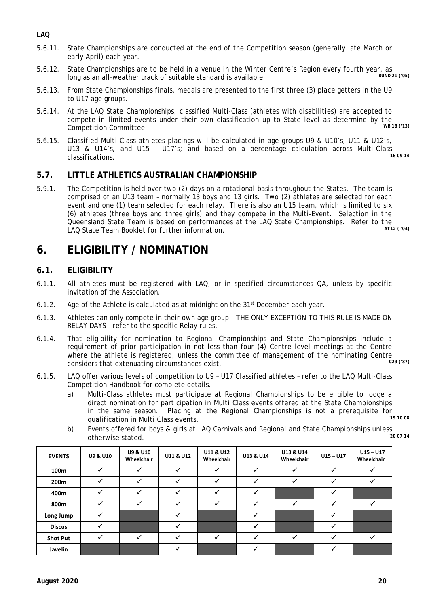- *LAQ*
- 5.6.11. State Championships are conducted at the end of the Competition season (generally late March or early April) each year.
- 5.6.12. State Championships are to be held in a venue in the Winter Centre's Region every fourth year, as<br>long as an all weather track of suitable standard is available. long as an all-weather track of suitable standard is available.
- 5.6.13. From State Championships finals, medals are presented to the first three (3) place getters in the U9 to U17 age groups.
- 5.6.14. At the LAQ State Championships, classified Multi-Class (athletes with disabilities) are accepted to compete in limited events under their own classification up to State level as determine by the<br>Competition Committee  $Competition$  *Committee.*
- 5.6.15. Classified Multi-Class athletes placings will be calculated in age groups U9 & U10's, U11 & U12's, U13 & U14's, and U15 - U17's; and based on a percentage calculation across Multi-Class  $classifications.$

#### <span id="page-20-0"></span>**5.7. LITTLE ATHLETICS AUSTRALIAN CHAMPIONSHIP**

5.9.1. The Competition is held over two (2) days on a rotational basis throughout the States. The team is comprised of an U13 team – normally 13 boys and 13 girls. Two (2) athletes are selected for each event and one (1) team selected for each relay. There is also an U15 team, which is limited to six (6) athletes (three boys and three girls) and they compete in the Multi-Event. Selection in the Queensland State Team is based on performances at the LAQ State Championships. Refer to the<br>LAO State Team Booklet for further information LAQ State Team Booklet for further information.

# <span id="page-20-1"></span>**6. ELIGIBILITY / NOMINATION**

### <span id="page-20-2"></span>**6.1. ELIGIBILITY**

- 6.1.1. All athletes must be registered with LAQ, or in specified circumstances QA, unless by specific invitation of the Association.
- 6.1.2. Age of the Athlete is calculated as at midnight on the  $31<sup>st</sup>$  December each year.
- 6.1.3. Athletes can only compete in their own age group. THE ONLY EXCEPTION TO THIS RULE IS MADE ON RELAY DAYS - refer to the specific Relay rules.
- 6.1.4. That eligibility for nomination to Regional Championships and State Championships include a requirement of prior participation in not less than four (4) Centre level meetings at the Centre where the athlete is registered, unless the committee of management of the nominating Centre<br>considers that extenuating circumstances exist considers that extenuating circumstances exist.
- 6.1.5. LAQ offer various levels of competition to U9 U17 Classified athletes refer to the LAQ Multi-Class Competition Handbook for complete details.
	- a) Multi-Class athletes must participate at Regional Championships to be eligible to lodge a direct nomination for participation in Multi Class events offered at the State Championships in the same season. Placing at the Regional Championships is not a prerequisite for qualification in Multi Class events. *'19 10 <sup>08</sup>*
	- b) Events offered for boys & girls at LAQ Carnivals and Regional and State Championships unless<br>200714 otherwise stated.

| <b>EVENTS</b>    | <b>U9 &amp; U10</b> | <b>U9 &amp; U10</b><br>Wheelchair | U11 & U12 | U11 & U12<br>Wheelchair | U13 & U14 | U13 & U14<br>Wheelchair | $U15 - U17$  | $U15 - U17$<br>Wheelchair |
|------------------|---------------------|-----------------------------------|-----------|-------------------------|-----------|-------------------------|--------------|---------------------------|
| 100m             |                     |                                   | ✓         |                         | ✓         | ✓                       | $\checkmark$ |                           |
| 200 <sub>m</sub> |                     |                                   |           |                         | ✓         | ✓                       | ✓            |                           |
| 400m             |                     |                                   |           |                         |           |                         |              |                           |
| 800m             |                     |                                   |           |                         |           | $\checkmark$            |              |                           |
| Long Jump        |                     |                                   |           |                         |           |                         |              |                           |
| <b>Discus</b>    |                     |                                   |           |                         |           |                         |              |                           |
| <b>Shot Put</b>  |                     |                                   |           | $\checkmark$            | ✓         | ✓                       |              |                           |
| Javelin          |                     |                                   |           |                         |           |                         |              |                           |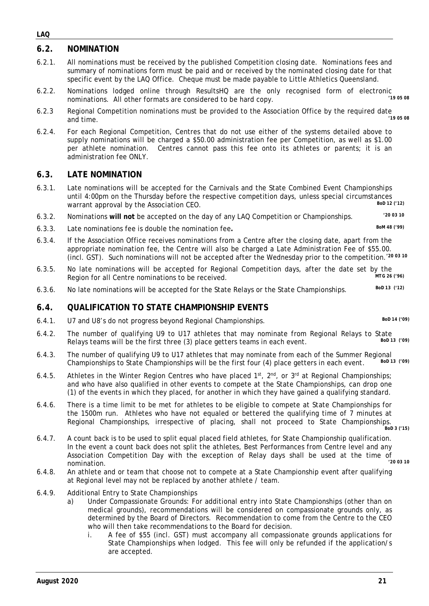### <span id="page-21-0"></span>**6.2. NOMINATION**

- 6.2.1. All nominations must be received by the published Competition closing date. Nominations fees and summary of nominations form must be paid and or received by the nominated closing date for that specific event by the LAQ Office. Cheque must be made payable to Little Athletics Queensland.
- 6.2.2. Nominations lodged online through ResultsHQ are the only recognised form of electronic<br>nominations. All other formats are considered to be hard conv hominations. All other formats are considered to be hard copy.
- 6.2.3 Regional Competition nominations must be provided to the Association Office by the required date<br>60.2.3 cod time and time. *'19 <sup>05</sup> <sup>08</sup>*
- 6.2.4. For each Regional Competition, Centres that do not use either of the systems detailed above to supply nominations will be charged a \$50.00 administration fee per Competition, as well as \$1.00 per athlete nomination. Centres cannot pass this fee onto its athletes or parents; it is an administration fee ONLY.

#### <span id="page-21-1"></span>**6.3. LATE NOMINATION**

- 6.3.1. Late nominations will be accepted for the Carnivals and the State Combined Event Championships until 4:00pm on the Thursday before the respective competition days, unless special circumstances<br>warrant approval by the Association CEO warrant approval by the Association CEO.
- 6.3.2. Nominations **will not** be accepted on the day of any LAQ Competition or Championships. *'20 03 10*
- 6.3.3. Late nominations fee is double the nomination fee**.** *BoM 48 ('99)*
- 6.3.4. If the Association Office receives nominations from a Centre after the closing date, apart from the appropriate nomination fee, the Centre will also be charged a Late Administration Fee of \$55.00. (incl. GST). Such nominations will not be accepted after the Wednesday prior to the competition.*'20 03 10*
- 6.3.5. No late nominations will be accepted for Regional Competition days, after the date set by the<br>Region for all Centre nominations to be received Region for all Centre nominations to be received.
- 6.3.6. No late nominations will be accepted for the State Relays or the State Championships. *BoD 13 ('12)*

#### <span id="page-21-2"></span>**6.4. QUALIFICATION TO STATE CHAMPIONSHIP EVENTS**

6.4.1. U7 and U8's do not progress beyond Regional Championships. *BoD 14 ('09)*

- 6.4.2. The number of qualifying U9 to U17 athletes that may nominate from Regional Relays to State<br>Belays to any will be the first three (2) place gotters to ms in each ovent Relays teams will be the first three (3) place getters teams in each event.
- 6.4.3. The number of qualifying U9 to U17 athletes that may nominate from each of the Summer Regional<br>Championships to State Championships will be the first four (4) place getters in each event Bol 13 (199) Championships to State Championships will be the first four (4) place getters in each event.
- 6.4.5. Athletes in the Winter Region Centres who have placed  $1^{st}$ ,  $2^{nd}$ , or  $3^{rd}$  at Regional Championships; and who have also qualified in other events to compete at the State Championships, can drop one (1) of the events in which they placed, for another in which they have gained a qualifying standard.
- 6.4.6. There is a time limit to be met for athletes to be eligible to compete at State Championships for the 1500m run. Athletes who have not equaled or bettered the qualifying time of 7 minutes at Regional Championships, irrespective of placing, shall not proceed to State Championships. *BoD 3 ('15)*
- 6.4.7. A count back is to be used to split equal placed field athletes, for State Championship qualification. In the event a count back does not split the athletes, Best Performances from Centre level and any Association Competition Day with the exception of Relay days shall be used at the time of nomination. *'20 03 10*
- 6.4.8. An athlete and or team that choose not to compete at a State Championship event after qualifying at Regional level may not be replaced by another athlete / team.
- 6.4.9. Additional Entry to State Championships
	- a) Under Compassionate Grounds: For additional entry into State Championships (other than on medical grounds), recommendations will be considered on compassionate grounds only, as determined by the Board of Directors. Recommendation to come from the Centre to the CEO who will then take recommendations to the Board for decision.
		- i. A fee of \$55 (incl. GST) must accompany all compassionate grounds applications for State Championships when lodged. This fee will only be refunded if the application/s are accepted.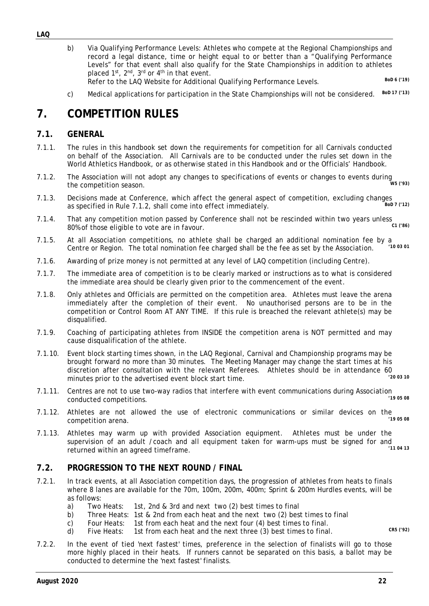- b) Via Qualifying Performance Levels: Athletes who compete at the Regional Championships and record a legal distance, time or height equal to or better than a "Qualifying Performance Levels" for that event shall also qualify for the State Championships in addition to athletes placed 1<sup>st</sup>, 2<sup>nd</sup>, 3<sup>rd</sup> or 4<sup>th</sup> in that event. Refer to the LAQ Website for Additional Qualifying Performance Levels. *BOD 6 ('19)* 
	-
- c) Medical applications for participation in the State Championships will not be considered. *BoD 17 ('13)*

# <span id="page-22-0"></span>**7. COMPETITION RULES**

### <span id="page-22-1"></span>**7.1. GENERAL**

- 7.1.1. The rules in this handbook set down the requirements for competition for all Carnivals conducted on behalf of the Association. All Carnivals are to be conducted under the rules set down in the World Athletics Handbook, or as otherwise stated in this Handbook and or the Officials' Handbook.
- 7.1.2. The Association will not adopt any changes to specifications of events or changes to events during the competition season. *W5 ('93)*
- 7.1.3. Decisions made at Conference, which affect the general aspect of competition, excluding changes<br>as specified in Pule 7.1.2, shall come inte effect immediately as specified in Rule 7.1.2, shall come into effect immediately.
- 7.1.4. That any competition motion passed by Conference shall not be rescinded within two years unless care in favour 80% of those eligible to vote are in favour.
- 7.1.5. At all Association competitions, no athlete shall be charged an additional nomination fee by a<br>Contro or Pogion. The total nomination foe charged shall be the foe as set by the Association. (10.03.01) Centre or Region. The total nomination fee charged shall be the fee as set by the Association.
- 7.1.6. Awarding of prize money is not permitted at any level of LAQ competition (including Centre).
- 7.1.7. The immediate area of competition is to be clearly marked or instructions as to what is considered the immediate area should be clearly given prior to the commencement of the event.
- 7.1.8. Only athletes and Officials are permitted on the competition area. Athletes must leave the arena immediately after the completion of their event. No unauthorised persons are to be in the competition or Control Room AT ANY TIME. If this rule is breached the relevant athlete(s) may be disqualified.
- 7.1.9. Coaching of participating athletes from INSIDE the competition arena is NOT permitted and may cause disqualification of the athlete.
- 7.1.10. Event block starting times shown, in the LAQ Regional, Carnival and Championship programs may be brought forward no more than 30 minutes. The Meeting Manager may change the start times at his discretion after consultation with the relevant Referees. Athletes should be in attendance 60<br>minutes prior to the advertised event block start time minutes prior to the advertised event block start time.
- 7.1.11. Centres are not to use two-way radios that interfere with event communications during Association conducted compotitions  $conducted$  *competitions.*
- 7.1.12. Athletes are not allowed the use of electronic communications or similar devices on the<br><sup>19.05.08</sup>  $competition$  *arena*.
- 7.1.13. Athletes may warm up with provided Association equipment. Athletes must be under the supervision of an adult / coach and all equipment taken for warm-ups must be signed for and<br>returned within an agreed timeframe returned within an agreed timeframe.

### <span id="page-22-2"></span>**7.2. PROGRESSION TO THE NEXT ROUND / FINAL**

- 7.2.1. In track events, at all Association competition days, the progression of athletes from heats to finals where 8 lanes are available for the 70m, 100m, 200m, 400m; Sprint & 200m Hurdles events, will be as follows:
	- a) Two Heats: 1st, 2nd & 3rd and next two (2) best times to final
	- b) Three Heats: 1st & 2nd from each heat and the next two (2) best times to final
	- c) Four Heats: 1st from each heat and the next four (4) best times to final.
	- d) Five Heats: 1st from each heat and the next three (3) best times to final. *CR5 ('92)*
- 7.2.2. In the event of tied 'next fastest' times, preference in the selection of finalists will go to those more highly placed in their heats. If runners cannot be separated on this basis, a ballot may be conducted to determine the 'next fastest' finalists.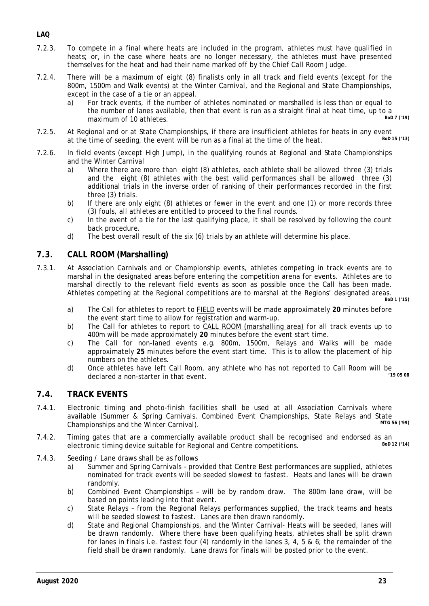- 7.2.3. To compete in a final where heats are included in the program, athletes must have qualified in heats; or, in the case where heats are no longer necessary, the athletes must have presented themselves for the heat and had their name marked off by the Chief Call Room Judge.
- 7.2.4. There will be a maximum of eight (8) finalists only in all track and field events (except for the 800m, 1500m and Walk events) at the Winter Carnival, and the Regional and State Championships, except in the case of a tie or an appeal.
	- a) For track events, if the number of athletes nominated or marshalled is less than or equal to the number of lanes available, then that event is run as a straight final at heat time, up to a<br>maximum of 10 athletes maximum of 10 athletes.
- 7.2.5. At Regional and or at State Championships, if there are insufficient athletes for heats in any event at the time of seeding the event will be run as a final at the time of the beat at the time of seeding, the event will be run as a final at the time of the heat.
- 7.2.6. In field events (except High Jump), in the qualifying rounds at Regional and State Championships and the Winter Carnival
	- a) Where there are more than eight (8) athletes, each athlete shall be allowed three (3) trials and the eight (8) athletes with the best valid performances shall be allowed three (3) additional trials in the inverse order of ranking of their performances recorded in the first three (3) trials.
	- b) If there are only eight (8) athletes or fewer in the event and one (1) or more records three (3) fouls, all athletes are entitled to proceed to the final rounds.
	- c) In the event of a tie for the last qualifying place, it shall be resolved by following the count back procedure.
	- d) The best overall result of the six (6) trials by an athlete will determine his place.

#### <span id="page-23-0"></span>**7.3. CALL ROOM (Marshalling)**

- 7.3.1. At Association Carnivals and or Championship events, athletes competing in track events are to marshal in the designated areas before entering the competition arena for events. Athletes are to marshal directly to the relevant field events as soon as possible once the Call has been made. Athletes competing at the Regional competitions are to marshal at the Regions' designated areas. *BoD 1 ('15)*
	- a) The Call for athletes to report to FIELD events will be made approximately **20** minutes before the event start time to allow for registration and warm-up.
	- b) The Call for athletes to report to CALL ROOM (marshalling area) for all track events up to 400m will be made approximately **20** minutes before the event start time.
	- c) The Call for non-laned events e.g. 800m, 1500m, Relays and Walks will be made approximately **25** minutes before the event start time. This is to allow the placement of hip numbers on the athletes.
	- d) Once athletes have left Call Room, any athlete who has not reported to Call Room will be deelered a non starter in that event declared a non-starter in that event.

#### <span id="page-23-1"></span>**7.4. TRACK EVENTS**

- 7.4.1. Electronic timing and photo-finish facilities shall be used at all Association Carnivals where available (Summer & Spring Carnivals, Combined Event Championships, State Relays and State<br>Championships and the Winter Carnival) Championships and the Winter Carnival).
- 7.4.2. Timing gates that are a commercially available product shall be recognised and endorsed as an electronic timing device suitable for Regional and Centre competitions electronic timing device suitable for Regional and Centre competitions.
- 7.4.3. Seeding / Lane draws shall be as follows
	- a) Summer and Spring Carnivals provided that Centre Best performances are supplied, athletes nominated for track events will be seeded slowest to fastest. Heats and lanes will be drawn randomly.
	- b) Combined Event Championships will be by random draw. The 800m lane draw, will be based on points leading into that event.
	- c) State Relays from the Regional Relays performances supplied, the track teams and heats will be seeded slowest to fastest. Lanes are then drawn randomly.
	- d) State and Regional Championships, and the Winter Carnival- Heats will be seeded, lanes will be drawn randomly. Where there have been qualifying heats, athletes shall be split drawn for lanes in finals i.e. fastest four (4) randomly in the lanes 3, 4, 5 & 6; the remainder of the field shall be drawn randomly. Lane draws for finals will be posted prior to the event.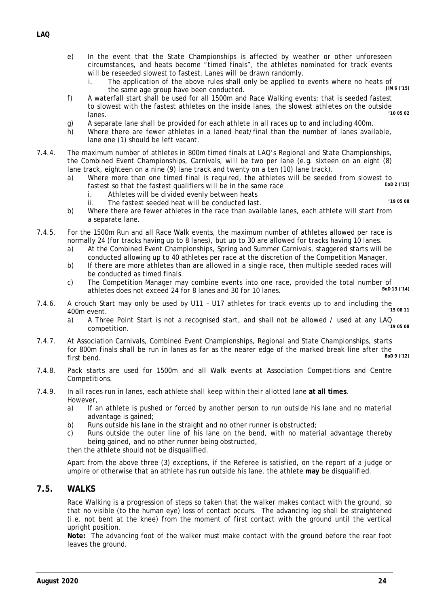- *LAQ*
- e) In the event that the State Championships is affected by weather or other unforeseen circumstances, and heats become "timed finals", the athletes nominated for track events will be reseeded slowest to fastest. Lanes will be drawn randomly.<br>i. The application of the above rules shall only be applied to
	- The application of the above rules shall only be applied to events where no heats of  $\frac{1 \text{m/s}}{1 \text{m/s}}$  (15) the same age group have been conducted.
- f) A waterfall start shall be used for all 1500m and Race Walking events; that is seeded fastest to slowest with the fastest athletes on the inside lanes, the slowest athletes on the outside<br>lanes lanes. *'10 05 02*
- g) A separate lane shall be provided for each athlete in all races up to and including 400m.
- h) Where there are fewer athletes in a laned heat/final than the number of lanes available, lane one (1) should be left vacant.
- 7.4.4. The maximum number of athletes in 800m timed finals at LAQ's Regional and State Championships, the Combined Event Championships, Carnivals, will be two per lane (e.g. sixteen on an eight (8) lane track, eighteen on a nine (9) lane track and twenty on a ten (10) lane track).
	- a) Where more than one timed final is required, the athletes will be seeded from slowest to factor so that the factor qualifiers will be in the same race fastest so that the fastest qualifiers will be in the same race
		- i. Athletes will be divided evenly between heats
- 
- ii. The fastest seeded heat will be conducted last. *'19 05 08* b) Where there are fewer athletes in the race than available lanes, each athlete will start from
- a separate lane.
- 7.4.5. For the 1500m Run and all Race Walk events, the maximum number of athletes allowed per race is normally 24 (for tracks having up to 8 lanes), but up to 30 are allowed for tracks having 10 lanes.
	- a) At the Combined Event Championships, Spring and Summer Carnivals, staggered starts will be conducted allowing up to 40 athletes per race at the discretion of the Competition Manager.
	- b) If there are more athletes than are allowed in a single race, then multiple seeded races will be conducted as timed finals.
	- c) The Competition Manager may combine events into one race, provided the total number of  $\frac{1}{13}$  athletes does not exceed 24 for 8 lanes and 30 for 10 lanes athletes does not exceed 24 for 8 lanes and 30 for 10 lanes.
- 7.4.6. A crouch Start may only be used by U11 U17 athletes for track events up to and including the<br><sup>15 08 11</sup> 400m event. *'15 08 11*
	- a) A Three Point Start is not a recognised start, and shall not be allowed / used at any LAQ competition. competition. *'19 05 08*
- 7.4.7. At Association Carnivals, Combined Event Championships, Regional and State Championships, starts for 800m finals shall be run in lanes as far as the nearer edge of the marked break line after the<br>first bend.<br> $\frac{B_{0D}g_{(12)}}{1}$ first bend. *BoD 9 ('12)*
- 7.4.8. Pack starts are used for 1500m and all Walk events at Association Competitions and Centre Competitions.
- 7.4.9. In all races run in lanes, each athlete shall keep within their allotted lane **at all times**. However,
	- a) If an athlete is pushed or forced by another person to run outside his lane and no material advantage is gained;
	- b) Runs outside his lane in the straight and no other runner is obstructed;
	- c) Runs outside the outer line of his lane on the bend, with no material advantage thereby being gained, and no other runner being obstructed,

then the athlete should not be disqualified.

Apart from the above three (3) exceptions, if the Referee is satisfied, on the report of a judge or umpire or otherwise that an athlete has run outside his lane, the athlete **may** be disqualified.

#### <span id="page-24-0"></span>**7.5. WALKS**

Race Walking is a progression of steps so taken that the walker makes contact with the ground, so that no visible (to the human eye) loss of contact occurs. The advancing leg shall be straightened (i.e. not bent at the knee) from the moment of first contact with the ground until the vertical upright position.

**Note:** The advancing foot of the walker must make contact with the ground before the rear foot leaves the ground.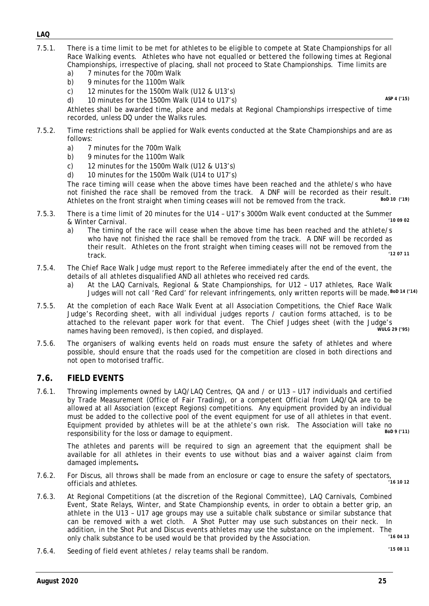- 7.5.1. There is a time limit to be met for athletes to be eligible to compete at State Championships for all Race Walking events. Athletes who have not equalled or bettered the following times at Regional Championships, irrespective of placing, shall not proceed to State Championships. Time limits are
	- a) 7 minutes for the 700m Walk b) 9 minutes for the 1100m Walk
	- c) 12 minutes for the 1500m Walk (U12 & U13's)
	- d) 10 minutes for the 1500m Walk (U14 to U17's) *ASP 4 ('15)*

Athletes shall be awarded time, place and medals at Regional Championships irrespective of time recorded, unless DQ under the Walks rules.

- 7.5.2. Time restrictions shall be applied for Walk events conducted at the State Championships and are as follows:
	- a) 7 minutes for the 700m Walk
	- b) 9 minutes for the 1100m Walk
	- c) 12 minutes for the 1500m Walk (U12 & U13's)
	- d) 10 minutes for the 1500m Walk (U14 to U17's)

The race timing will cease when the above times have been reached and the athlete/s who have not finished the race shall be removed from the track. A DNF will be recorded as their result.<br>Athletes en the front straight when timing seeses will not be removed from the track. Athletes on the front straight when timing ceases will not be removed from the track.

- 7.5.3. There is a time limit of 20 minutes for the U14 U17's 3000m Walk event conducted at the Summer  $& Winter Carnival.$ 
	- a) The timing of the race will cease when the above time has been reached and the athlete/s who have not finished the race shall be removed from the track. A DNF will be recorded as their result. Athletes on the front straight when timing ceases will not be removed from the  $(12.0711)$ track. *'12 07 11*
- 7.5.4. The Chief Race Walk Judge must report to the Referee immediately after the end of the event, the details of all athletes disqualified AND all athletes who received red cards.
	- a) At the LAQ Carnivals, Regional & State Championships, for U12 U17 athletes, Race Walk Judges will not call 'Red Card' for relevant infringements, only written reports will be made.*BoD 14 ('14)*
- 7.5.5. At the completion of each Race Walk Event at all Association Competitions, the Chief Race Walk Judge's Recording sheet, with all individual judges reports / caution forms attached, is to be attached to the relevant paper work for that event. The Chief Judges sheet (with the Judge's<br>names having boon romoved), is then copied and displayed names having been removed), is then copied, and displayed.
- 7.5.6. The organisers of walking events held on roads must ensure the safety of athletes and where possible, should ensure that the roads used for the competition are closed in both directions and not open to motorised traffic.

### <span id="page-25-0"></span>**7.6. FIELD EVENTS**

7.6.1. Throwing implements owned by LAQ/LAQ Centres, QA and / or U13 – U17 individuals and certified by Trade Measurement (Office of Fair Trading), or a competent Official from LAQ/QA are to be allowed at all Association (except Regions) competitions. Any equipment provided by an individual must be added to the collective pool of the event equipment for use of all athletes in that event. Equipment provided by athletes will be at the athlete's own risk. The Association will take no<br>recononsibility for the loss or damage to equipment responsibility for the loss or damage to equipment.

The athletes and parents will be required to sign an agreement that the equipment shall be available for all athletes in their events to use without bias and a waiver against claim from damaged implements*.*

- 7.6.2. For Discus, all throws shall be made from an enclosure or cage to ensure the safety of spectators,<br><sup>216</sup> 10<sup>12</sup> officials and athletes.
- 7.6.3. At Regional Competitions (at the discretion of the Regional Committee), LAQ Carnivals, Combined Event, State Relays, Winter, and State Championship events, in order to obtain a better grip, an athlete in the U13 – U17 age groups may use a suitable chalk substance or similar substance that can be removed with a wet cloth. A Shot Putter may use such substances on their neck. In addition, in the Shot Put and Discus events athletes may use the substance on the implement. The<br>cable substance to be used would be that provided by the Association only chalk substance to be used would be that provided by the Association. *'16 <sup>04</sup> <sup>13</sup>*
- 7.6.4. Seeding of field event athletes / relay teams shall be random. *'15 08 11*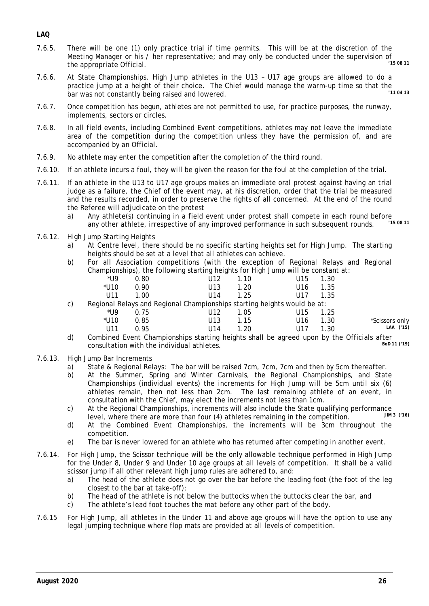- *LAQ*
- 7.6.5. There will be one (1) only practice trial if time permits. This will be at the discretion of the Meeting Manager or his / her representative; and may only be conducted under the supervision of<br>the engrapriate Official the appropriate Official.
- 7.6.6. At State Championships, High Jump athletes in the U13 U17 age groups are allowed to do a practice jump at a height of their choice. The Chief would manage the warm-up time so that the<br>bar was not constantly being raised and lowered bar was not constantly being raised and lowered.
- 7.6.7. Once competition has begun, athletes are not permitted to use, for practice purposes, the runway, implements, sectors or circles.
- 7.6.8. In all field events, including Combined Event competitions, athletes may not leave the immediate area of the competition during the competition unless they have the permission of, and are accompanied by an Official.
- 7.6.9. No athlete may enter the competition after the completion of the third round.
- 7.6.10. If an athlete incurs a foul, they will be given the reason for the foul at the completion of the trial.
- 7.6.11. If an athlete in the U13 to U17 age groups makes an immediate oral protest against having an trial judge as a failure, the Chief of the event may, at his discretion, order that the trial be measured and the results recorded, in order to preserve the rights of all concerned. At the end of the round the Referee will adjudicate on the protest
	- a) Any athlete(s) continuing in a field event under protest shall compete in each round before<br>any other athlete, irrespective of any improved performance in such subsequent rounds  $(15.0811)$ any other athlete, irrespective of any improved performance in such subsequent rounds.
- 7.6.12. High Jump Starting Heights
	- a) At Centre level, there should be no specific starting heights set for High Jump. The starting heights should be set at a level that all athletes can achieve.
	- b) For all Association competitions (with the exception of Regional Relays and Regional Championships), the following starting heights for High Jump will be constant at:

|     | *I I9   | 0.80   | U12                                                                      | 1 10                                                                                                                                                                                                                                                                                                                                                                                 | U15          | 1.30 |
|-----|---------|--------|--------------------------------------------------------------------------|--------------------------------------------------------------------------------------------------------------------------------------------------------------------------------------------------------------------------------------------------------------------------------------------------------------------------------------------------------------------------------------|--------------|------|
|     | $*$ U10 | 0.90   | U13                                                                      | 1.20                                                                                                                                                                                                                                                                                                                                                                                 | U16 -        | 1.35 |
|     | 1111    | 1 NO   | 1114                                                                     | 1 25                                                                                                                                                                                                                                                                                                                                                                                 | $U17 - 1.35$ |      |
| C). |         |        | Regional Relays and Regional Championships starting heights would be at: |                                                                                                                                                                                                                                                                                                                                                                                      |              |      |
|     | $*110$  | - ^ 75 |                                                                          | $\overline{A}$ $\overline{A}$ $\overline{B}$ $\overline{C}$ $\overline{C}$ $\overline{C}$ $\overline{C}$ $\overline{C}$ $\overline{C}$ $\overline{C}$ $\overline{C}$ $\overline{C}$ $\overline{C}$ $\overline{C}$ $\overline{C}$ $\overline{C}$ $\overline{C}$ $\overline{C}$ $\overline{C}$ $\overline{C}$ $\overline{C}$ $\overline{C}$ $\overline{C}$ $\overline{C}$ $\overline{$ | $114F$ $40F$ |      |

|                | U15 1.25 | U12 1.05 |  | *U9   0.75 |
|----------------|----------|----------|--|------------|
| *Scissors only | U16 1.30 | U13 1.15 |  |            |
| LAA ('15)      | U17 1.30 | U14 1.20 |  |            |

- d) Combined Event Championships starting heights shall be agreed upon by the Officials after<br>
consultation with the individual athletes consultation with the individual athletes.
- 7.6.13. High Jump Bar Increments
	- a) State & Regional Relays: The bar will be raised 7cm, 7cm, 7cm and then by 5cm thereafter.
	- b) At the Summer, Spring and Winter Carnivals, the Regional Championships, and State Championships (individual events) the increments for High Jump will be 5cm until six (6) athletes remain, then not less than 2cm. The last remaining athlete of an event, in consultation with the Chief, may elect the increments not less than 1cm.
	- c) At the Regional Championships, increments will also include the State qualifying performance<br>level where there are more than four (A) athletes remaining in the competition level, where there are more than four (4) athletes remaining in the competition.
	- d) At the Combined Event Championships, the increments will be 3cm throughout the competition.
	- e) The bar is never lowered for an athlete who has returned after competing in another event.
- 7.6.14. For High Jump, the Scissor technique will be the only allowable technique performed in High Jump for the Under 8, Under 9 and Under 10 age groups at all levels of competition. It shall be a valid scissor jump if all other relevant high jump rules are adhered to, and:
	- a) The head of the athlete does not go over the bar before the leading foot (the foot of the leg closest to the bar at take-off);
	- b) The head of the athlete is not below the buttocks when the buttocks clear the bar, and
	- c) The athlete's lead foot touches the mat before any other part of the body.
- 7.6.15 For High Jump, all athletes in the Under 11 and above age groups will have the option to use any legal jumping technique where flop mats are provided at all levels of competition.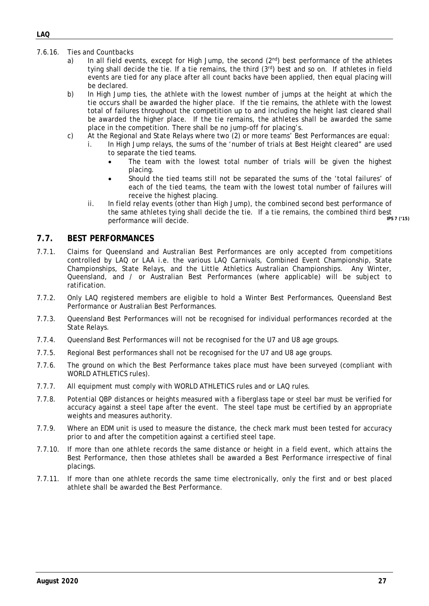- 7.6.16. Ties and Countbacks
	- a) In all field events, except for High Jump, the second  $(2^{nd})$  best performance of the athletes tying shall decide the tie. If a tie remains, the third (3rd) best and so on. If athletes in field events are tied for any place after all count backs have been applied, then equal placing will be declared.
	- b) In High Jump ties, the athlete with the lowest number of jumps at the height at which the tie occurs shall be awarded the higher place. If the tie remains, the athlete with the lowest total of failures throughout the competition up to and including the height last cleared shall be awarded the higher place. If the tie remains, the athletes shall be awarded the same place in the competition. There shall be no jump-off for placing's.
	- c) At the Regional and State Relays where two (2) or more teams' Best Performances are equal:
		- i. In High Jump relays, the sums of the 'number of trials at Best Height cleared" are used to separate the tied teams.
			- The team with the lowest total number of trials will be given the highest placing.
			- Should the tied teams still not be separated the sums of the 'total failures' of each of the tied teams, the team with the lowest total number of failures will receive the highest placing.
		- ii. In field relay events (other than High Jump), the combined second best performance of the same athletes tying shall decide the tie. If a tie remains, the combined third best<br>norformance will docide  $performance$  will decide.

#### <span id="page-27-0"></span>**7.7. BEST PERFORMANCES**

- 7.7.1. Claims for Queensland and Australian Best Performances are only accepted from competitions controlled by LAQ or LAA i.e. the various LAQ Carnivals, Combined Event Championship, State Championships, State Relays, and the Little Athletics Australian Championships. Any Winter, Queensland, and / or Australian Best Performances (where applicable) will be subject to ratification.
- 7.7.2. Only LAQ registered members are eligible to hold a Winter Best Performances, Queensland Best Performance or Australian Best Performances.
- 7.7.3. Queensland Best Performances will not be recognised for individual performances recorded at the State Relays.
- 7.7.4. Queensland Best Performances will not be recognised for the U7 and U8 age groups.
- 7.7.5. Regional Best performances shall not be recognised for the U7 and U8 age groups.
- 7.7.6. The ground on which the Best Performance takes place must have been surveyed (compliant with WORLD ATHLETICS rules).
- 7.7.7. All equipment must comply with WORLD ATHLETICS rules and or LAQ rules.
- 7.7.8. Potential QBP distances or heights measured with a fiberglass tape or steel bar must be verified for accuracy against a steel tape after the event. The steel tape must be certified by an appropriate weights and measures authority.
- 7.7.9. Where an EDM unit is used to measure the distance, the check mark must been tested for accuracy prior to and after the competition against a certified steel tape.
- 7.7.10. If more than one athlete records the same distance or height in a field event, which attains the Best Performance, then those athletes shall be awarded a Best Performance irrespective of final placings.
- 7.7.11. If more than one athlete records the same time electronically, only the first and or best placed athlete shall be awarded the Best Performance.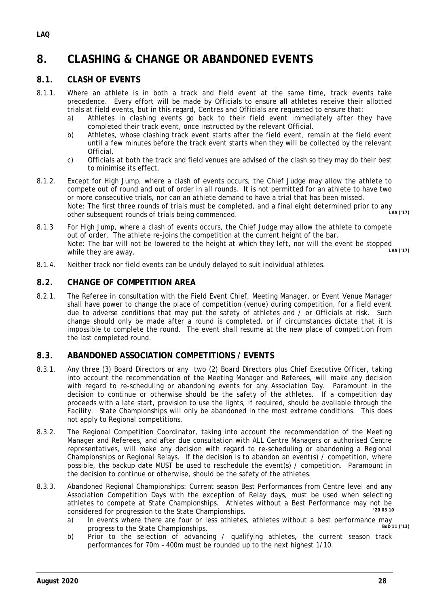# <span id="page-28-0"></span>**8. CLASHING & CHANGE OR ABANDONED EVENTS**

#### <span id="page-28-1"></span>**8.1. CLASH OF EVENTS**

- 8.1.1. Where an athlete is in both a track and field event at the same time, track events take precedence. Every effort will be made by Officials to ensure all athletes receive their allotted trials at field events, but in this regard, Centres and Officials are requested to ensure that:
	- a) Athletes in clashing events go back to their field event immediately after they have completed their track event, once instructed by the relevant Official.
	- b) Athletes, whose clashing track event starts after the field event, remain at the field event until a few minutes before the track event starts when they will be collected by the relevant Official.
	- c) Officials at both the track and field venues are advised of the clash so they may do their best to minimise its effect.
- 8.1.2. Except for High Jump, where a clash of events occurs, the Chief Judge may allow the athlete to compete out of round and out of order in all rounds. It is not permitted for an athlete to have two or more consecutive trials, nor can an athlete demand to have a trial that has been missed. Note: The first three rounds of trials must be completed, and a final eight determined prior to any other subsequent rounds of trials being commenced. *LAA ('17)*
- 8.1.3 For High Jump, where a clash of events occurs, the Chief Judge may allow the athlete to compete out of order. The athlete re-joins the competition at the current height of the bar. Note: The bar will not be lowered to the height at which they left, nor will the event be stopped<br>while they are away while they are away.
- <span id="page-28-2"></span>8.1.4. Neither track nor field events can be unduly delayed to suit individual athletes.

#### **8.2. CHANGE OF COMPETITION AREA**

8.2.1. The Referee in consultation with the Field Event Chief, Meeting Manager, or Event Venue Manager shall have power to change the place of competition (venue) during competition, for a field event due to adverse conditions that may put the safety of athletes and / or Officials at risk. Such change should only be made after a round is completed, or if circumstances dictate that it is impossible to complete the round. The event shall resume at the new place of competition from the last completed round.

#### <span id="page-28-3"></span>**8.3. ABANDONED ASSOCIATION COMPETITIONS / EVENTS**

- 8.3.1. Any three (3) Board Directors or any two (2) Board Directors plus Chief Executive Officer, taking into account the recommendation of the Meeting Manager and Referees, will make any decision with regard to re-scheduling or abandoning events for any Association Day. Paramount in the decision to continue or otherwise should be the safety of the athletes. If a competition day proceeds with a late start, provision to use the lights, if required, should be available through the Facility. State Championships will only be abandoned in the most extreme conditions. This does not apply to Regional competitions.
- 8.3.2. The Regional Competition Coordinator, taking into account the recommendation of the Meeting Manager and Referees, and after due consultation with ALL Centre Managers or authorised Centre representatives, will make any decision with regard to re-scheduling or abandoning a Regional Championships or Regional Relays. If the decision is to abandon an event(s) / competition, where possible, the backup date MUST be used to reschedule the event(s) / competition. Paramount in the decision to continue or otherwise, should be the safety of the athletes.
- 8.3.3. Abandoned Regional Championships: Current season Best Performances from Centre level and any Association Competition Days with the exception of Relay days, must be used when selecting athletes to compete at State Championships. Athletes without a Best Performance may not be<br>considered for programs to the State Championships. considered for progression to the State Championships.
	- a) In events where there are four or less athletes, athletes without a best performance may progress to the State Championships progress to the State Championships.
	- b) Prior to the selection of advancing / qualifying athletes, the current season track performances for 70m – 400m must be rounded up to the next highest 1/10.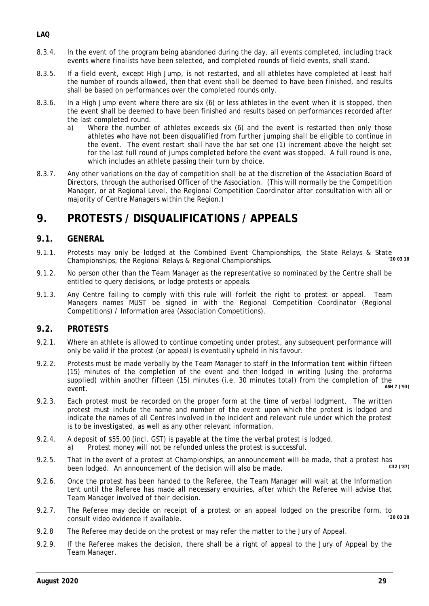- 8.3.4. In the event of the program being abandoned during the day, all events completed, including track events where finalists have been selected, and completed rounds of field events, shall stand.
- 8.3.5. If a field event, except High Jump, is not restarted, and all athletes have completed at least half the number of rounds allowed, then that event shall be deemed to have been finished, and results shall be based on performances over the completed rounds only.
- 8.3.6. In a High Jump event where there are six (6) or less athletes in the event when it is stopped, then the event shall be deemed to have been finished and results based on performances recorded after the last completed round.
	- a) Where the number of athletes exceeds six (6) and the event is restarted then only those athletes who have not been disqualified from further jumping shall be eligible to continue in the event. The event restart shall have the bar set one (1) increment above the height set for the last full round of jumps completed before the event was stopped. A full round is one, which includes an athlete passing their turn by choice.
- 8.3.7. Any other variations on the day of competition shall be at the discretion of the Association Board of Directors, through the authorised Officer of the Association. (This will normally be the Competition Manager, or at Regional Level, the Regional Competition Coordinator after consultation with all or majority of Centre Managers within the Region.)

# <span id="page-29-0"></span>**9. PROTESTS / DISQUALIFICATIONS / APPEALS**

### <span id="page-29-1"></span>**9.1. GENERAL**

- 9.1.1. Protests may only be lodged at the Combined Event Championships, the State Relays & State Championships (2003.10) Championships, the Regional Relays & Regional Championships.
- 9.1.2. No person other than the Team Manager as the representative so nominated by the Centre shall be entitled to query decisions, or lodge protests or appeals.
- 9.1.3. Any Centre failing to comply with this rule will forfeit the right to protest or appeal. Team Managers names MUST be signed in with the Regional Competition Coordinator (Regional Competitions) / Information area (Association Competitions).

#### <span id="page-29-2"></span>**9.2. PROTESTS**

- 9.2.1. Where an athlete is allowed to continue competing under protest, any subsequent performance will only be valid if the protest (or appeal) is eventually upheld in his favour.
- 9.2.2. Protests must be made verbally by the Team Manager to staff in the Information tent within fifteen (15) minutes of the completion of the event and then lodged in writing (using the proforma supplied) within another fifteen (15) minutes (i.e. 30 minutes total) from the completion of the<br>  $\frac{ASHZ(293)}{25}$ event. *ASH 7 ('93)*
- 9.2.3. Each protest must be recorded on the proper form at the time of verbal lodgment. The written protest must include the name and number of the event upon which the protest is lodged and indicate the names of all Centres involved in the incident and relevant rule under which the protest is to be investigated, as well as any other relevant information.
- 9.2.4. A deposit of \$55.00 (incl. GST) is payable at the time the verbal protest is lodged. a) Protest money will not be refunded unless the protest is successful.
- 9.2.5. That in the event of a protest at Championships, an announcement will be made, that a protest has<br>heen lodged. An announcement of the decision will also be made. been lodged. An announcement of the decision will also be made.
- 9.2.6. Once the protest has been handed to the Referee, the Team Manager will wait at the Information tent until the Referee has made all necessary enquiries, after which the Referee will advise that Team Manager involved of their decision.
- 9.2.7. The Referee may decide on receipt of a protest or an appeal lodged on the prescribe form, to<br>consult video evidence if available consult video evidence if available.
- 9.2.8 The Referee may decide on the protest or may refer the matter to the Jury of Appeal.
- 9.2.9. If the Referee makes the decision, there shall be a right of appeal to the Jury of Appeal by the Team Manager.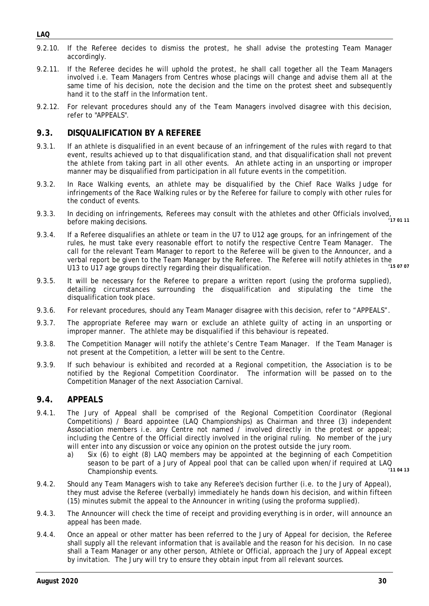- *LAQ*
- 9.2.10. If the Referee decides to dismiss the protest, he shall advise the protesting Team Manager accordingly.
- 9.2.11. If the Referee decides he will uphold the protest, he shall call together all the Team Managers involved i.e. Team Managers from Centres whose placings will change and advise them all at the same time of his decision, note the decision and the time on the protest sheet and subsequently hand it to the staff in the Information tent.
- 9.2.12. For relevant procedures should any of the Team Managers involved disagree with this decision, refer to "APPEALS".

#### <span id="page-30-0"></span>**9.3. DISQUALIFICATION BY A REFEREE**

- 9.3.1. If an athlete is disqualified in an event because of an infringement of the rules with regard to that event, results achieved up to that disqualification stand, and that disqualification shall not prevent the athlete from taking part in all other events. An athlete acting in an unsporting or improper manner may be disqualified from participation in all future events in the competition.
- 9.3.2. In Race Walking events, an athlete may be disqualified by the Chief Race Walks Judge for infringements of the Race Walking rules or by the Referee for failure to comply with other rules for the conduct of events.
- 9.3.3. In deciding on infringements, Referees may consult with the athletes and other Officials involved, before making decisions.
- 9.3.4. If a Referee disqualifies an athlete or team in the U7 to U12 age groups, for an infringement of the rules, he must take every reasonable effort to notify the respective Centre Team Manager. The call for the relevant Team Manager to report to the Referee will be given to the Announcer, and a verbal report be given to the Team Manager by the Referee. The Referee will notify athletes in the<br>113 to 117 eas groups directly regarding their disquelification. U13 to U17 age groups directly regarding their disqualification. *'15 07 07*
- 9.3.5. It will be necessary for the Referee to prepare a written report (using the proforma supplied), detailing circumstances surrounding the disqualification and stipulating the time the disqualification took place.
- 9.3.6. For relevant procedures, should any Team Manager disagree with this decision, refer to "APPEALS".
- 9.3.7. The appropriate Referee may warn or exclude an athlete guilty of acting in an unsporting or improper manner. The athlete may be disqualified if this behaviour is repeated.
- 9.3.8. The Competition Manager will notify the athlete's Centre Team Manager. If the Team Manager is not present at the Competition, a letter will be sent to the Centre.
- 9.3.9. If such behaviour is exhibited and recorded at a Regional competition, the Association is to be notified by the Regional Competition Coordinator. The information will be passed on to the Competition Manager of the next Association Carnival.

#### <span id="page-30-1"></span>**9.4. APPEALS**

- 9.4.1. The Jury of Appeal shall be comprised of the Regional Competition Coordinator (Regional Competitions) / Board appointee (LAQ Championships) as Chairman and three (3) independent Association members i.e. any Centre not named / involved directly in the protest or appeal; including the Centre of the Official directly involved in the original ruling. No member of the jury will enter into any discussion or voice any opinion on the protest outside the jury room.
	- a) Six (6) to eight (8) LAQ members may be appointed at the beginning of each Competition season to be part of a Jury of Appeal pool that can be called upon when/if required at LAQ<br>Championship ovents Championship events.
- 9.4.2. Should any Team Managers wish to take any Referee's decision further (i.e. to the Jury of Appeal), they must advise the Referee (verbally) immediately he hands down his decision, and within fifteen (15) minutes submit the appeal to the Announcer in writing (using the proforma supplied).
- 9.4.3. The Announcer will check the time of receipt and providing everything is in order, will announce an appeal has been made.
- 9.4.4. Once an appeal or other matter has been referred to the Jury of Appeal for decision, the Referee shall supply all the relevant information that is available and the reason for his decision. In no case shall a Team Manager or any other person, Athlete or Official, approach the Jury of Appeal except by invitation. The Jury will try to ensure they obtain input from all relevant sources.